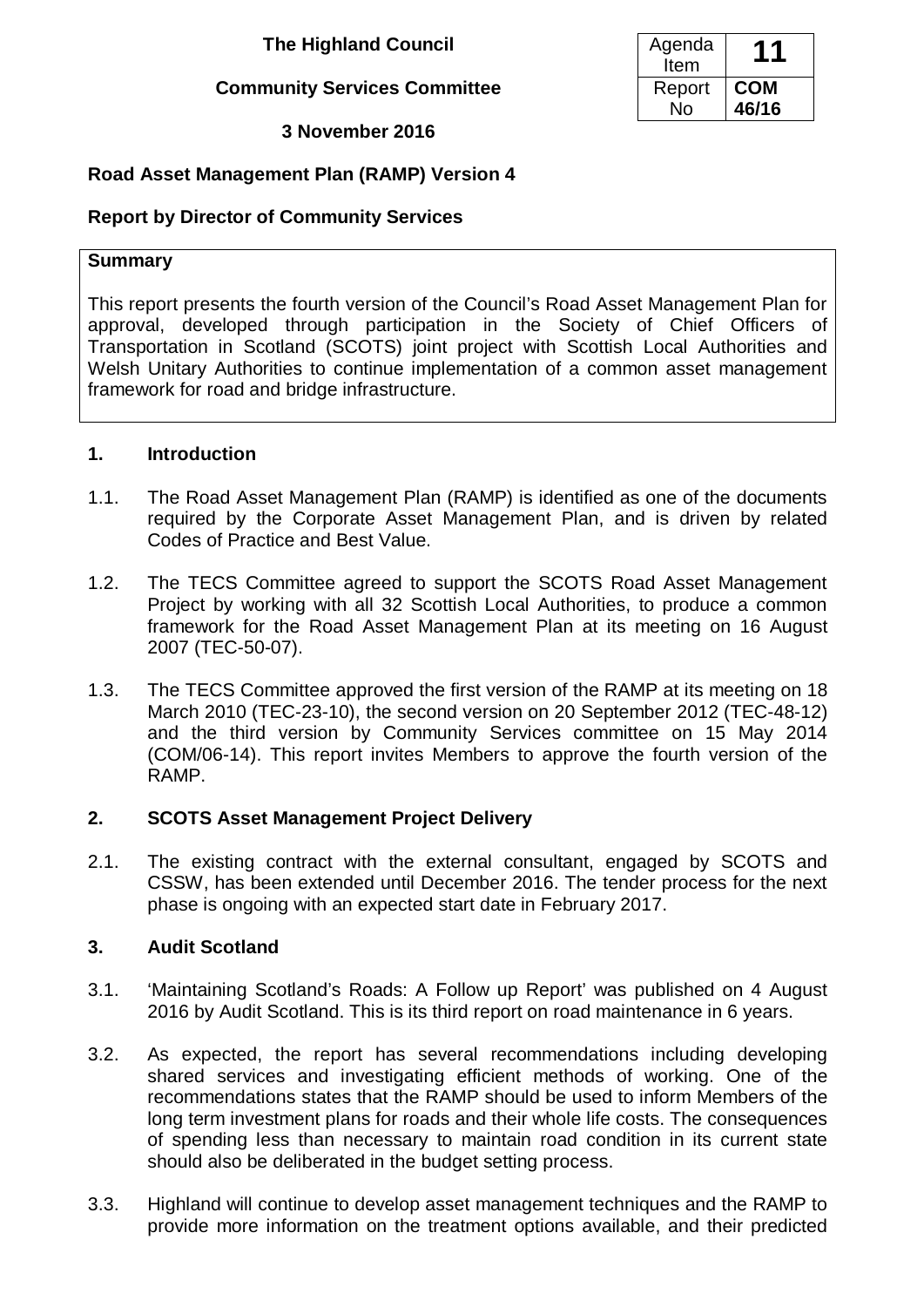**The Highland Council** 

#### **Community Services Committee**

#### **3 November 2016**

#### **Road Asset Management Plan (RAMP) Version 4**

#### **Report by Director of Community Services**

#### **Summary**

This report presents the fourth version of the Council's Road Asset Management Plan for approval, developed through participation in the Society of Chief Officers of Transportation in Scotland (SCOTS) joint project with Scottish Local Authorities and Welsh Unitary Authorities to continue implementation of a common asset management framework for road and bridge infrastructure.

#### **1. Introduction**

- 1.1. The Road Asset Management Plan (RAMP) is identified as one of the documents required by the Corporate Asset Management Plan, and is driven by related Codes of Practice and Best Value.
- 1.2. The TECS Committee agreed to support the SCOTS Road Asset Management Project by working with all 32 Scottish Local Authorities, to produce a common framework for the Road Asset Management Plan at its meeting on 16 August 2007 (TEC-50-07).
- 1.3. The TECS Committee approved the first version of the RAMP at its meeting on 18 March 2010 (TEC-23-10), the second version on 20 September 2012 (TEC-48-12) and the third version by Community Services committee on 15 May 2014 (COM/06-14). This report invites Members to approve the fourth version of the RAMP.

#### **2. SCOTS Asset Management Project Delivery**

2.1. The existing contract with the external consultant, engaged by SCOTS and CSSW, has been extended until December 2016. The tender process for the next phase is ongoing with an expected start date in February 2017.

#### **3. Audit Scotland**

- 3.1. 'Maintaining Scotland's Roads: A Follow up Report' was published on 4 August 2016 by Audit Scotland. This is its third report on road maintenance in 6 years.
- 3.2. As expected, the report has several recommendations including developing shared services and investigating efficient methods of working. One of the recommendations states that the RAMP should be used to inform Members of the long term investment plans for roads and their whole life costs. The consequences of spending less than necessary to maintain road condition in its current state should also be deliberated in the budget setting process.
- 3.3. Highland will continue to develop asset management techniques and the RAMP to provide more information on the treatment options available, and their predicted

| Agenda |            |
|--------|------------|
| Item   |            |
| Report | <b>COM</b> |
| N٥     | 46/16      |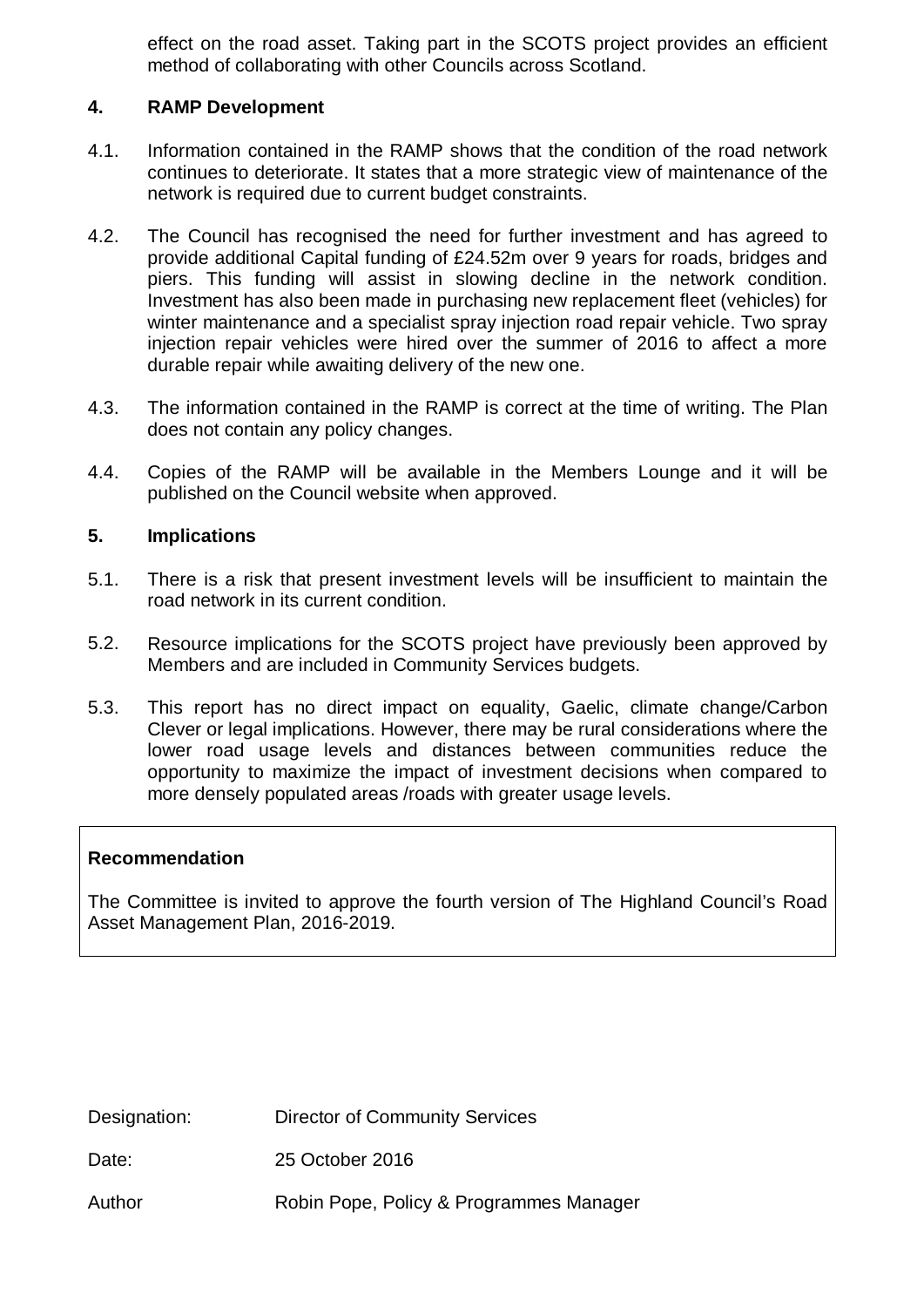effect on the road asset. Taking part in the SCOTS project provides an efficient method of collaborating with other Councils across Scotland.

#### **4. RAMP Development**

- 4.1. Information contained in the RAMP shows that the condition of the road network continues to deteriorate. It states that a more strategic view of maintenance of the network is required due to current budget constraints.
- 4.2. The Council has recognised the need for further investment and has agreed to provide additional Capital funding of £24.52m over 9 years for roads, bridges and piers. This funding will assist in slowing decline in the network condition. Investment has also been made in purchasing new replacement fleet (vehicles) for winter maintenance and a specialist spray injection road repair vehicle. Two spray injection repair vehicles were hired over the summer of 2016 to affect a more durable repair while awaiting delivery of the new one.
- 4.3. The information contained in the RAMP is correct at the time of writing. The Plan does not contain any policy changes.
- 4.4. Copies of the RAMP will be available in the Members Lounge and it will be published on the Council website when approved.

#### **5. Implications**

- 5.1. There is a risk that present investment levels will be insufficient to maintain the road network in its current condition.
- 5.2. Resource implications for the SCOTS project have previously been approved by Members and are included in Community Services budgets.
- 5.3. This report has no direct impact on equality, Gaelic, climate change/Carbon Clever or legal implications. However, there may be rural considerations where the lower road usage levels and distances between communities reduce the opportunity to maximize the impact of investment decisions when compared to more densely populated areas /roads with greater usage levels.

#### **Recommendation**

The Committee is invited to approve the fourth version of The Highland Council's Road Asset Management Plan, 2016-2019.

Designation: Director of Community Services

Date: 25 October 2016

Author Robin Pope, Policy & Programmes Manager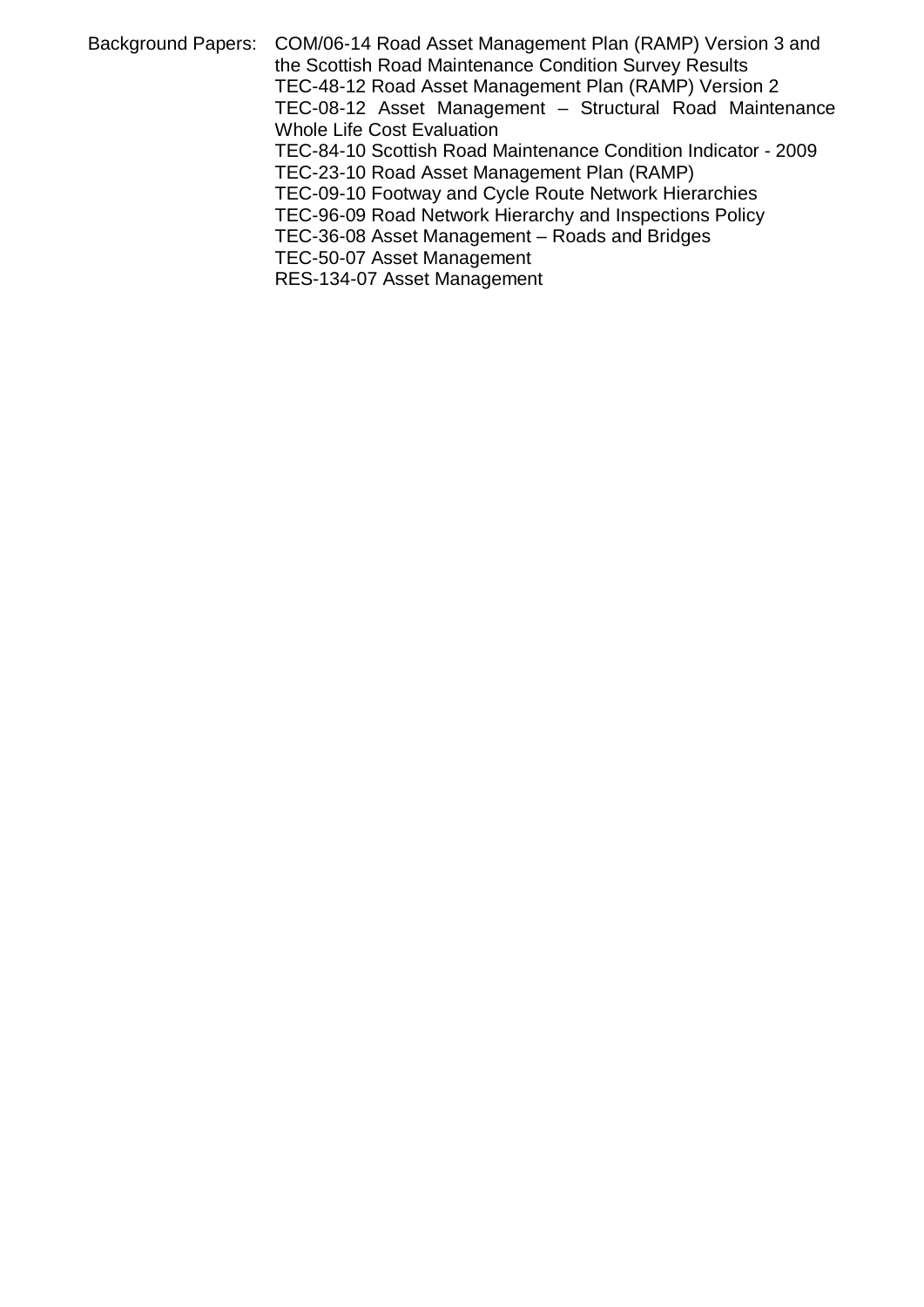Background Papers: COM/06-14 Road Asset Management Plan (RAMP) Version 3 and the Scottish Road Maintenance Condition Survey Results TEC-48-12 Road Asset Management Plan (RAMP) Version 2 TEC-08-12 Asset Management - Structural Road Maintenance Whole Life Cost Evaluation TEC-84-10 Scottish Road Maintenance Condition Indicator - 2009 TEC-23-10 Road Asset Management Plan (RAMP) TEC-09-10 Footway and Cycle Route Network Hierarchies TEC-96-09 Road Network Hierarchy and Inspections Policy TEC-36-08 Asset Management – Roads and Bridges TEC-50-07 Asset Management

RES-134-07 Asset Management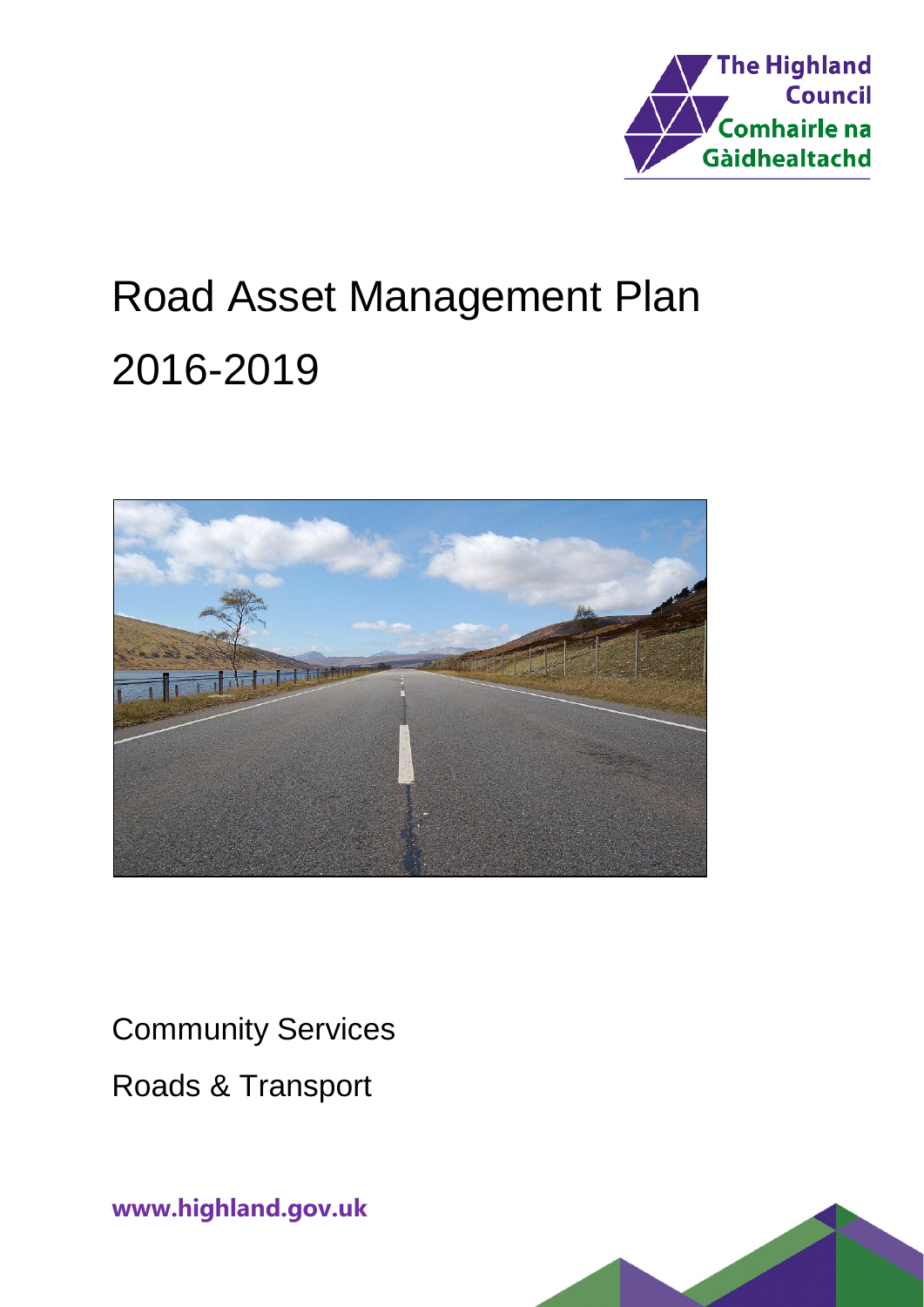

# Road Asset Management Plan 2016-2019



Community Services Roads & Transport

**www.highland.gov.uk**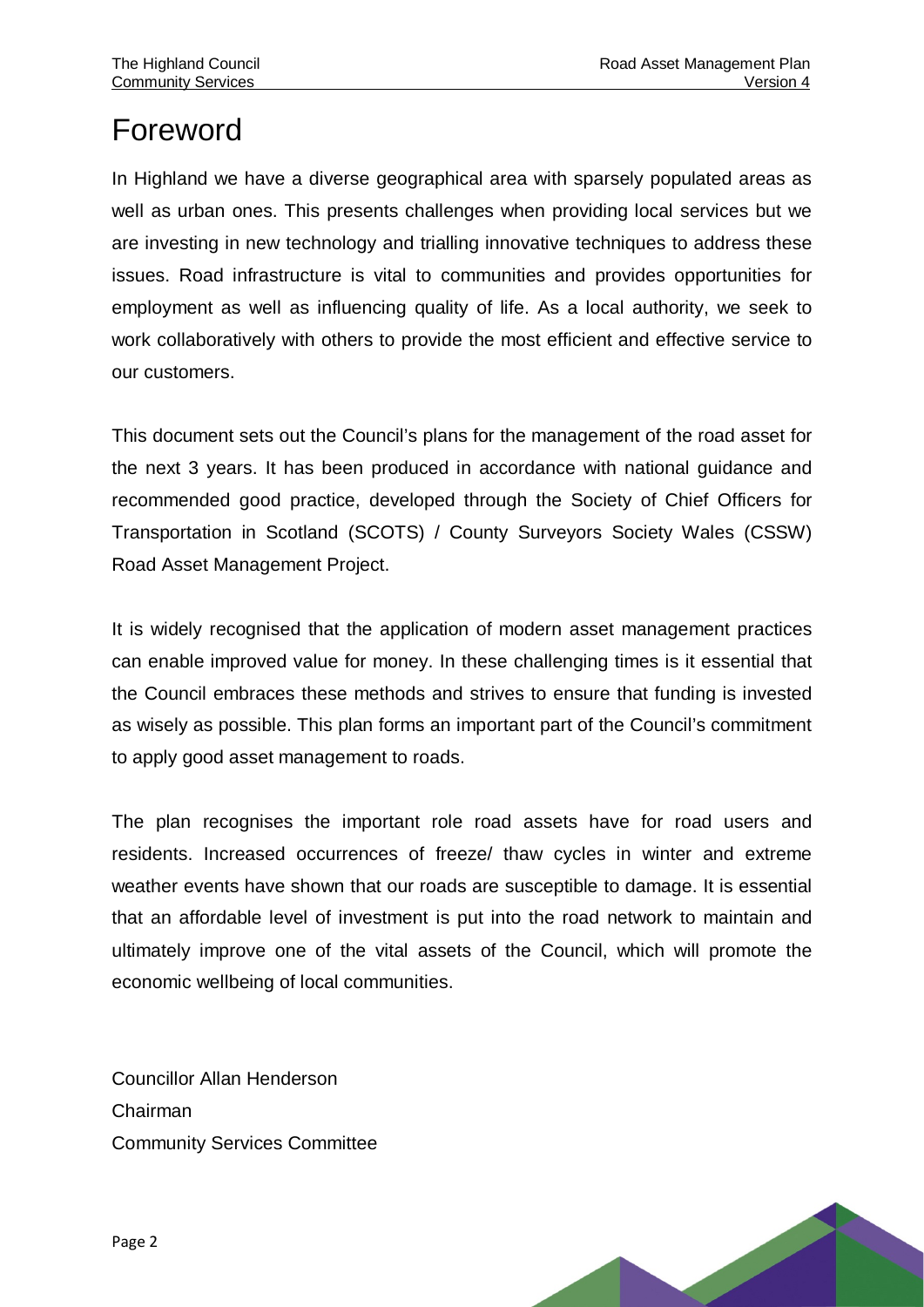# Foreword

In Highland we have a diverse geographical area with sparsely populated areas as well as urban ones. This presents challenges when providing local services but we are investing in new technology and trialling innovative techniques to address these issues. Road infrastructure is vital to communities and provides opportunities for employment as well as influencing quality of life. As a local authority, we seek to work collaboratively with others to provide the most efficient and effective service to our customers.

This document sets out the Council's plans for the management of the road asset for the next 3 years. It has been produced in accordance with national guidance and recommended good practice, developed through the Society of Chief Officers for Transportation in Scotland (SCOTS) / County Surveyors Society Wales (CSSW) Road Asset Management Project.

It is widely recognised that the application of modern asset management practices can enable improved value for money. In these challenging times is it essential that the Council embraces these methods and strives to ensure that funding is invested as wisely as possible. This plan forms an important part of the Council's commitment to apply good asset management to roads.

The plan recognises the important role road assets have for road users and residents. Increased occurrences of freeze/ thaw cycles in winter and extreme weather events have shown that our roads are susceptible to damage. It is essential that an affordable level of investment is put into the road network to maintain and ultimately improve one of the vital assets of the Council, which will promote the economic wellbeing of local communities.

Councillor Allan Henderson Chairman Community Services Committee

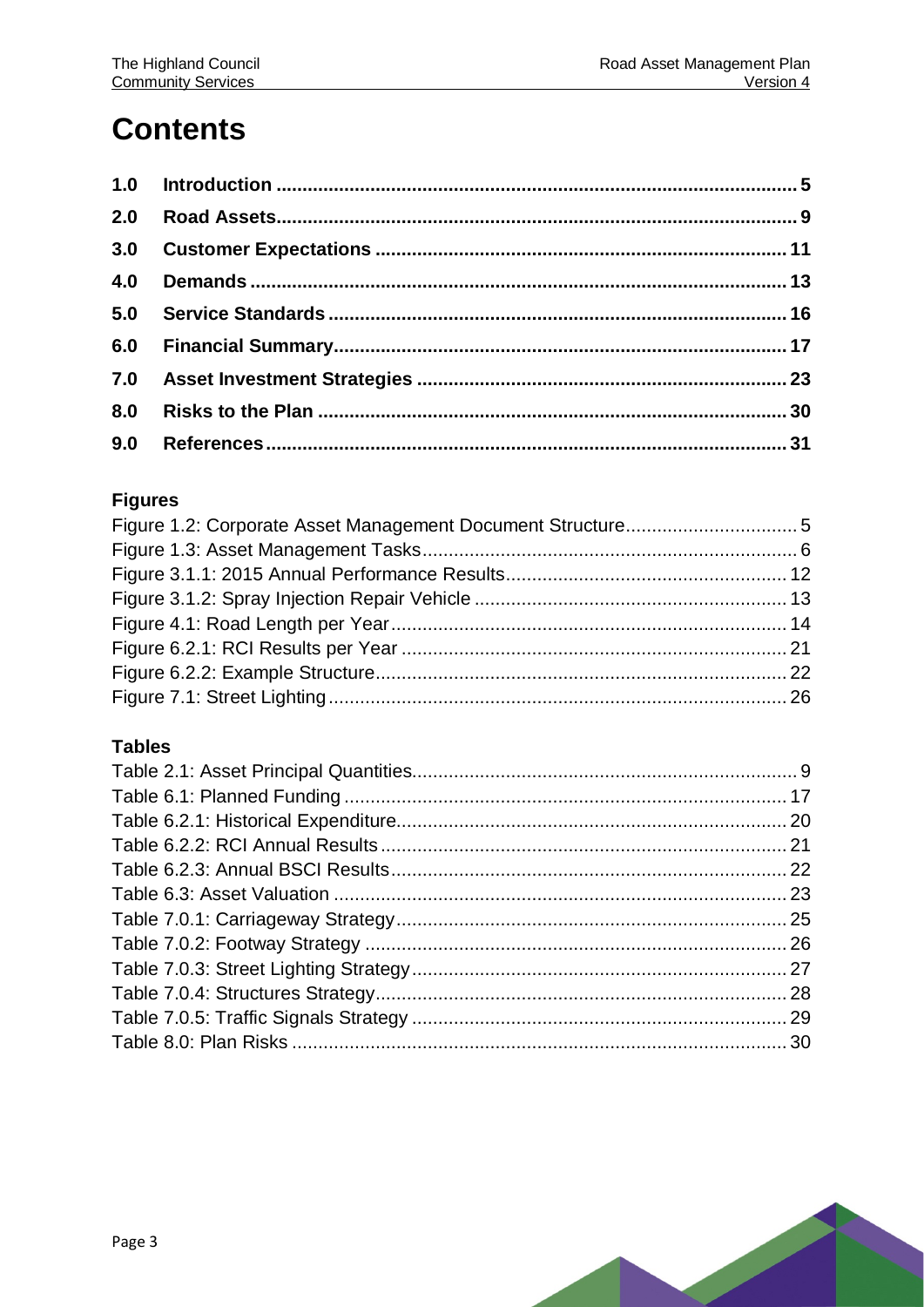# **Contents**

| 3.0 |  |
|-----|--|
| 4.0 |  |
|     |  |
|     |  |
|     |  |
| 8.0 |  |
| 9.0 |  |

#### **Figures**

#### **Tables**

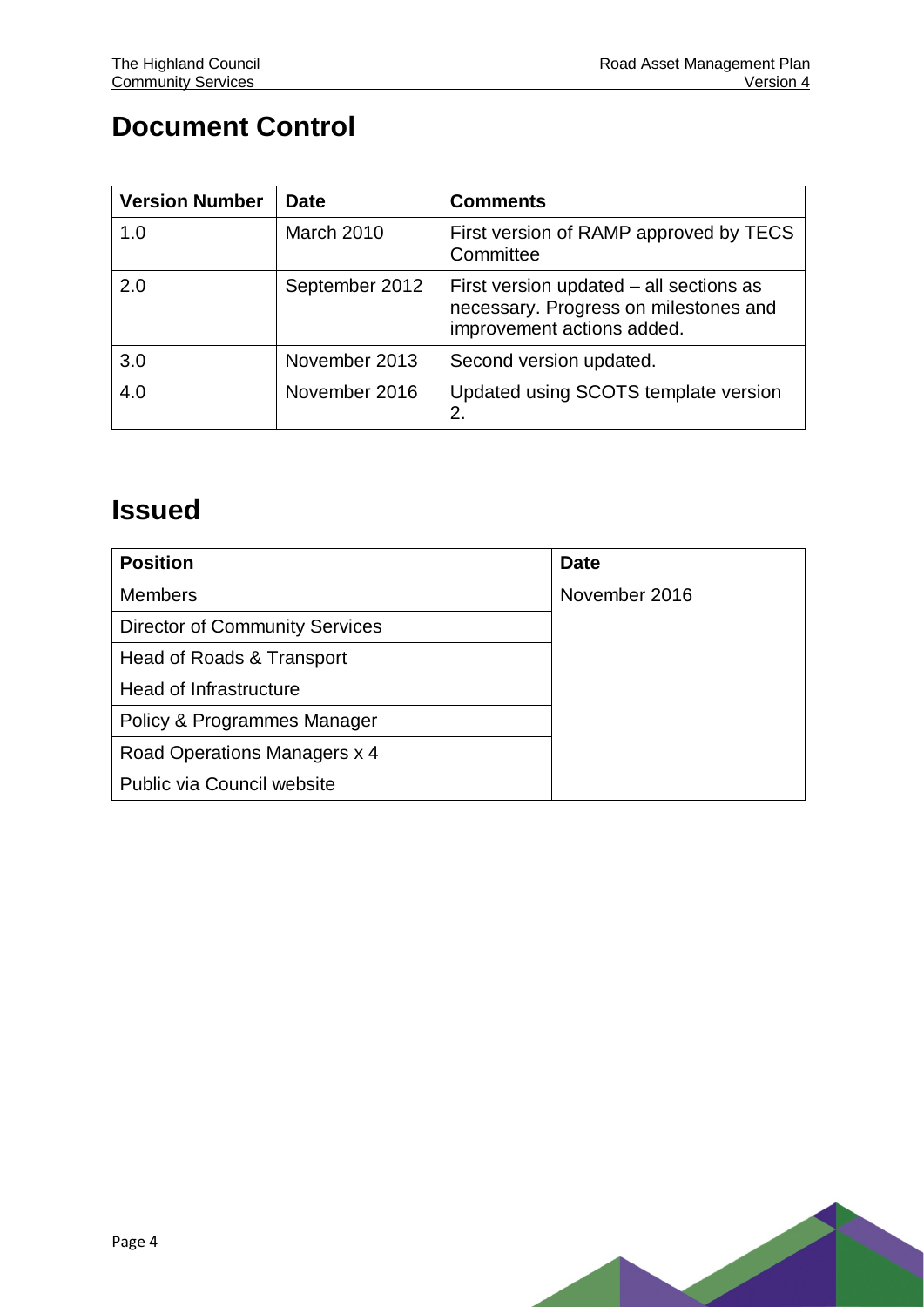### **Document Control**

| <b>Version Number</b> | <b>Date</b>    | <b>Comments</b>                                                                                                |
|-----------------------|----------------|----------------------------------------------------------------------------------------------------------------|
| 1.0                   | March 2010     | First version of RAMP approved by TECS<br>Committee                                                            |
| 2.0                   | September 2012 | First version updated – all sections as<br>necessary. Progress on milestones and<br>improvement actions added. |
| 3.0                   | November 2013  | Second version updated.                                                                                        |
| 4.0                   | November 2016  | Updated using SCOTS template version<br>2.                                                                     |

### **Issued**

| <b>Position</b>                       | <b>Date</b>   |
|---------------------------------------|---------------|
| <b>Members</b>                        | November 2016 |
| <b>Director of Community Services</b> |               |
| Head of Roads & Transport             |               |
| Head of Infrastructure                |               |
| Policy & Programmes Manager           |               |
| Road Operations Managers x 4          |               |
| Public via Council website            |               |

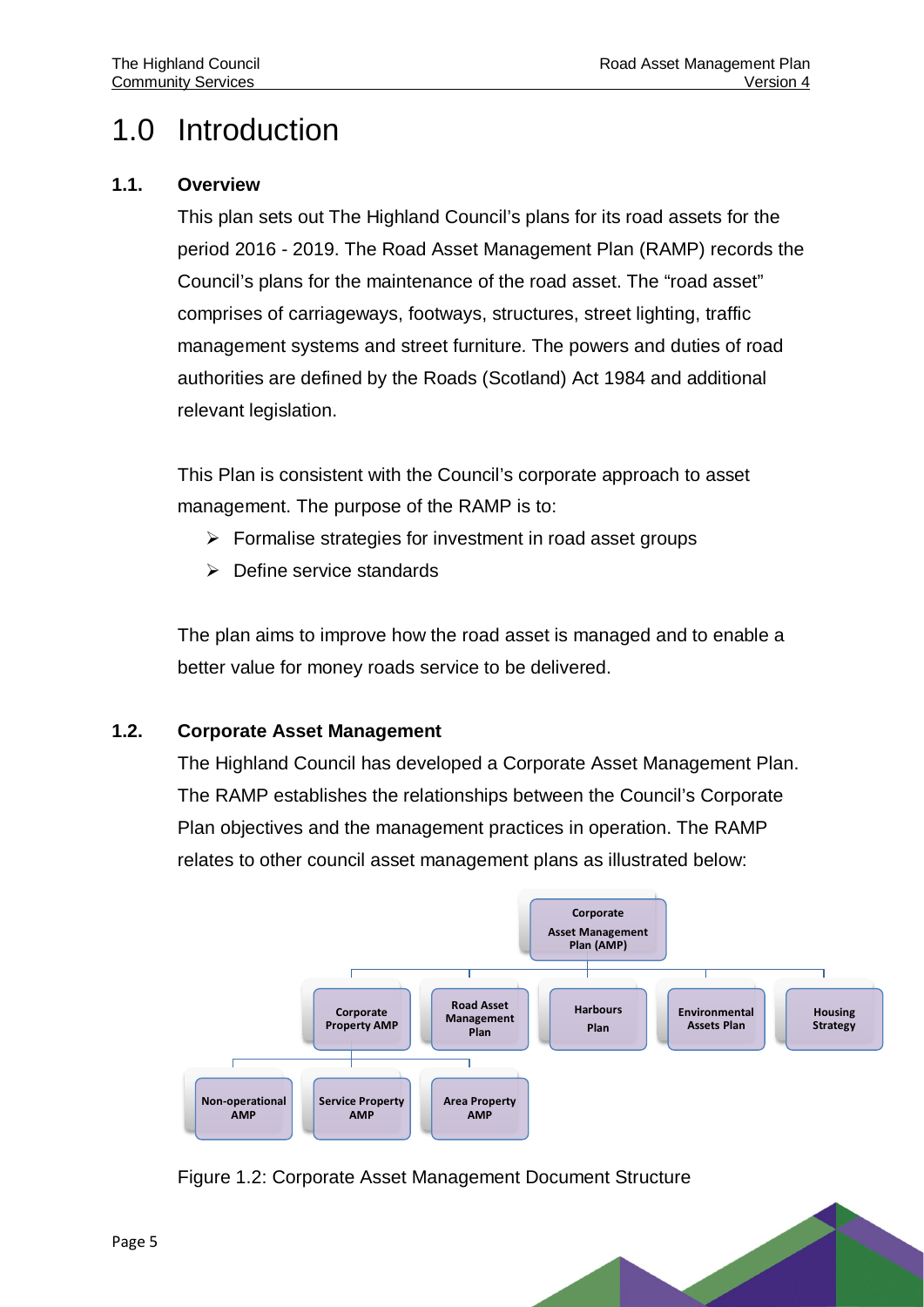# <span id="page-7-0"></span>1.0 Introduction

#### **1.1. Overview**

This plan sets out The Highland Council's plans for its road assets for the period 2016 - 2019. The Road Asset Management Plan (RAMP) records the Council's plans for the maintenance of the road asset. The "road asset" comprises of carriageways, footways, structures, street lighting, traffic management systems and street furniture. The powers and duties of road authorities are defined by the Roads (Scotland) Act 1984 and additional relevant legislation.

This Plan is consistent with the Council's corporate approach to asset management. The purpose of the RAMP is to:

- $\triangleright$  Formalise strategies for investment in road asset groups
- $\triangleright$  Define service standards

The plan aims to improve how the road asset is managed and to enable a better value for money roads service to be delivered.

#### **1.2. Corporate Asset Management**

The Highland Council has developed a Corporate Asset Management Plan. The RAMP establishes the relationships between the Council's Corporate Plan objectives and the management practices in operation. The RAMP relates to other council asset management plans as illustrated below:



<span id="page-7-1"></span>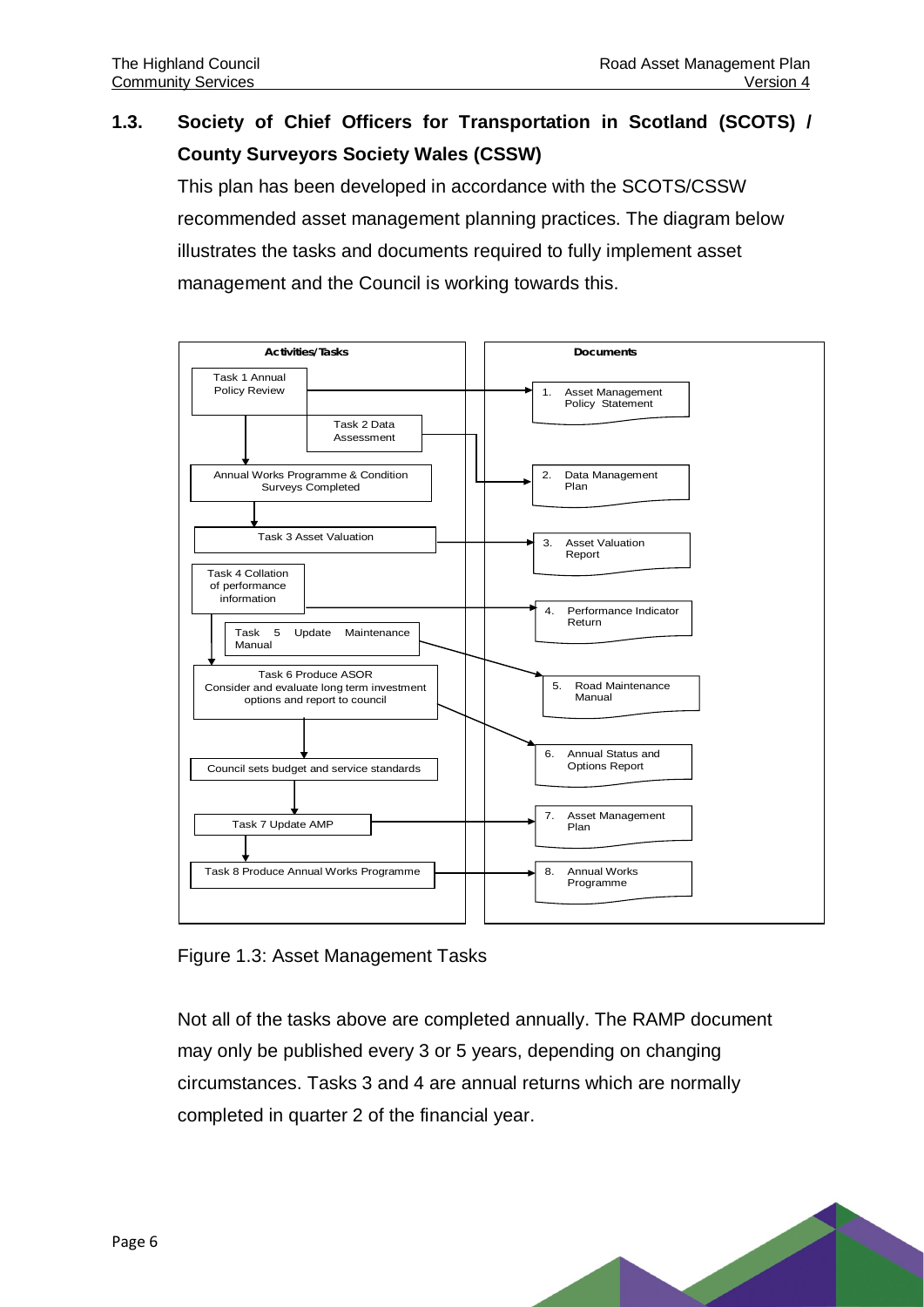#### **1.3. Society of Chief Officers for Transportation in Scotland (SCOTS) / County Surveyors Society Wales (CSSW)**

This plan has been developed in accordance with the SCOTS/CSSW recommended asset management planning practices. The diagram below illustrates the tasks and documents required to fully implement asset management and the Council is working towards this.



<span id="page-8-0"></span>Figure 1.3: Asset Management Tasks

Not all of the tasks above are completed annually. The RAMP document may only be published every 3 or 5 years, depending on changing circumstances. Tasks 3 and 4 are annual returns which are normally completed in quarter 2 of the financial year.

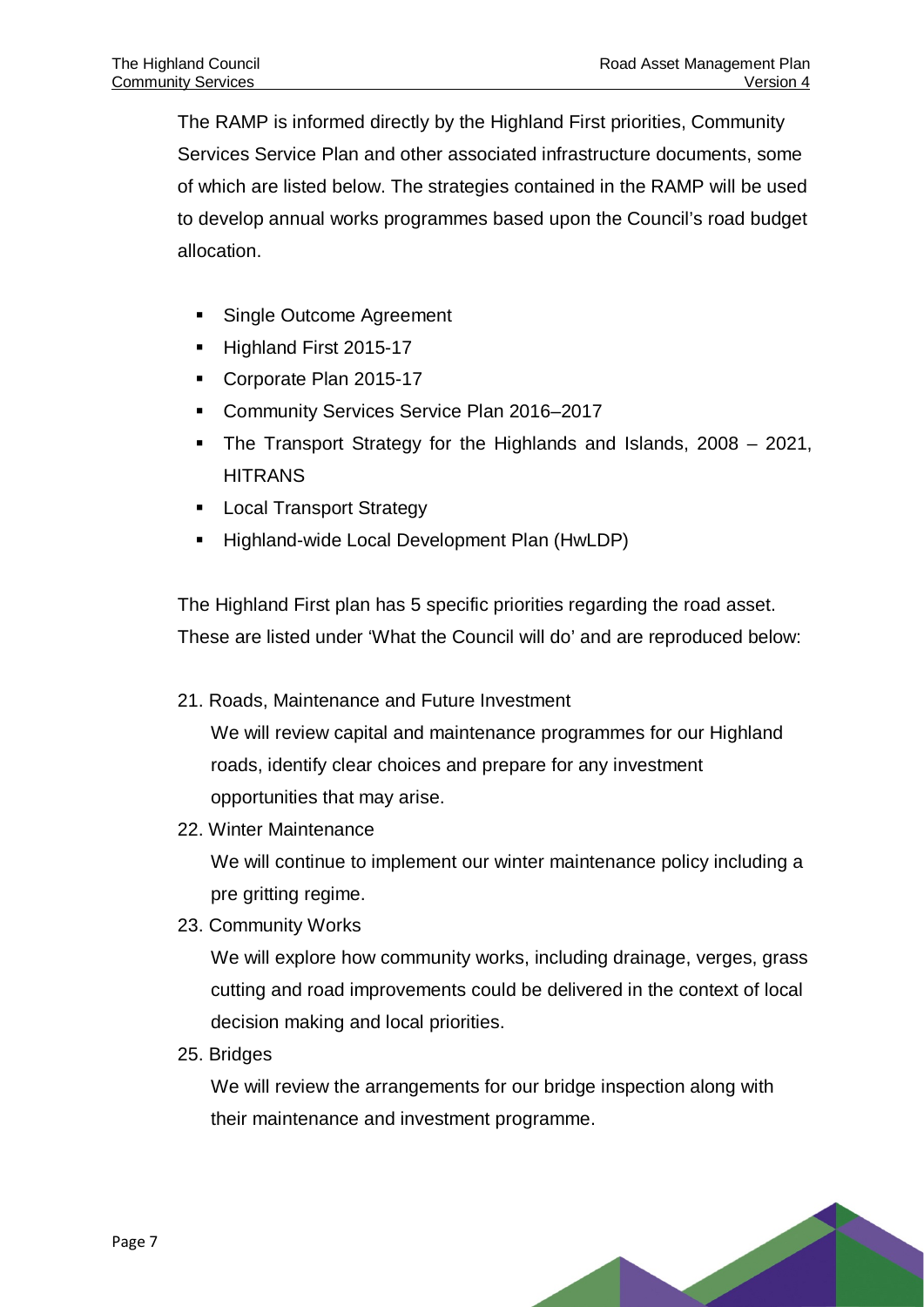The RAMP is informed directly by the Highland First priorities, Community Services Service Plan and other associated infrastructure documents, some of which are listed below. The strategies contained in the RAMP will be used to develop annual works programmes based upon the Council's road budget allocation.

- Single Outcome Agreement
- Highland First 2015-17
- Corporate Plan 2015-17
- **Community Services Service Plan 2016–2017**
- The Transport Strategy for the Highlands and Islands, 2008 2021, **HITRANS**
- **Local Transport Strategy**
- Highland-wide Local Development Plan (HwLDP)

The Highland First plan has 5 specific priorities regarding the road asset. These are listed under 'What the Council will do' and are reproduced below:

- 21. Roads, Maintenance and Future Investment We will review capital and maintenance programmes for our Highland roads, identify clear choices and prepare for any investment opportunities that may arise.
- 22. Winter Maintenance

We will continue to implement our winter maintenance policy including a pre gritting regime.

23. Community Works

We will explore how community works, including drainage, verges, grass cutting and road improvements could be delivered in the context of local decision making and local priorities.

25. Bridges

We will review the arrangements for our bridge inspection along with their maintenance and investment programme.

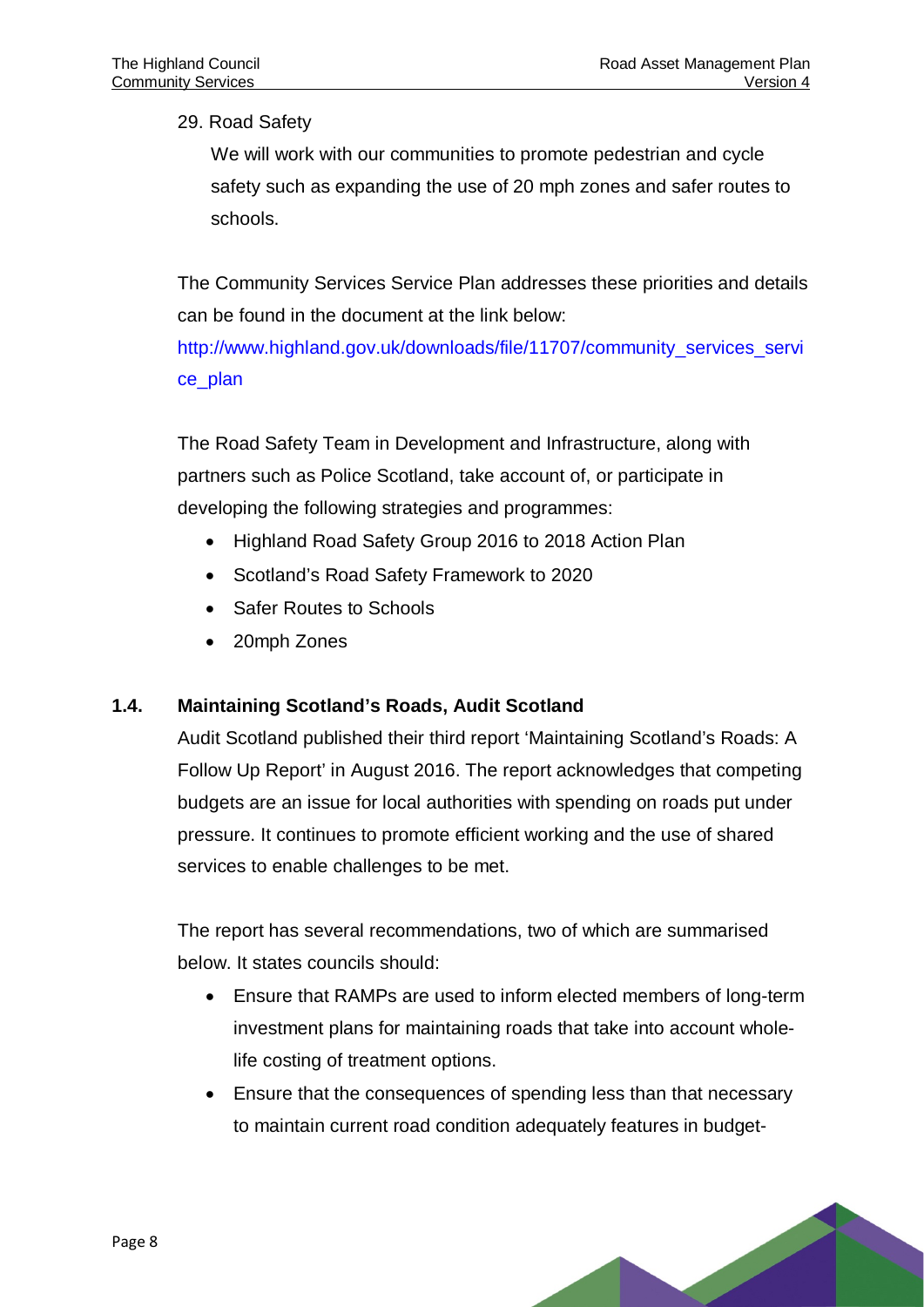29. Road Safety

We will work with our communities to promote pedestrian and cycle safety such as expanding the use of 20 mph zones and safer routes to schools.

The Community Services Service Plan addresses these priorities and details can be found in the document at the link below:

[http://www.highland.gov.uk/downloads/file/11707/community\\_services\\_servi](http://www.highland.gov.uk/downloads/file/11707/community_services_service_plan) [ce\\_plan](http://www.highland.gov.uk/downloads/file/11707/community_services_service_plan)

The Road Safety Team in Development and Infrastructure, along with partners such as Police Scotland, take account of, or participate in developing the following strategies and programmes:

- Highland Road Safety Group 2016 to 2018 Action Plan
- Scotland's Road Safety Framework to 2020
- Safer Routes to Schools
- 20mph Zones

#### **1.4. Maintaining Scotland's Roads, Audit Scotland**

Audit Scotland published their third report 'Maintaining Scotland's Roads: A Follow Up Report' in August 2016. The report acknowledges that competing budgets are an issue for local authorities with spending on roads put under pressure. It continues to promote efficient working and the use of shared services to enable challenges to be met.

The report has several recommendations, two of which are summarised below. It states councils should:

- Ensure that RAMPs are used to inform elected members of long-term investment plans for maintaining roads that take into account wholelife costing of treatment options.
- Ensure that the consequences of spending less than that necessary to maintain current road condition adequately features in budget-

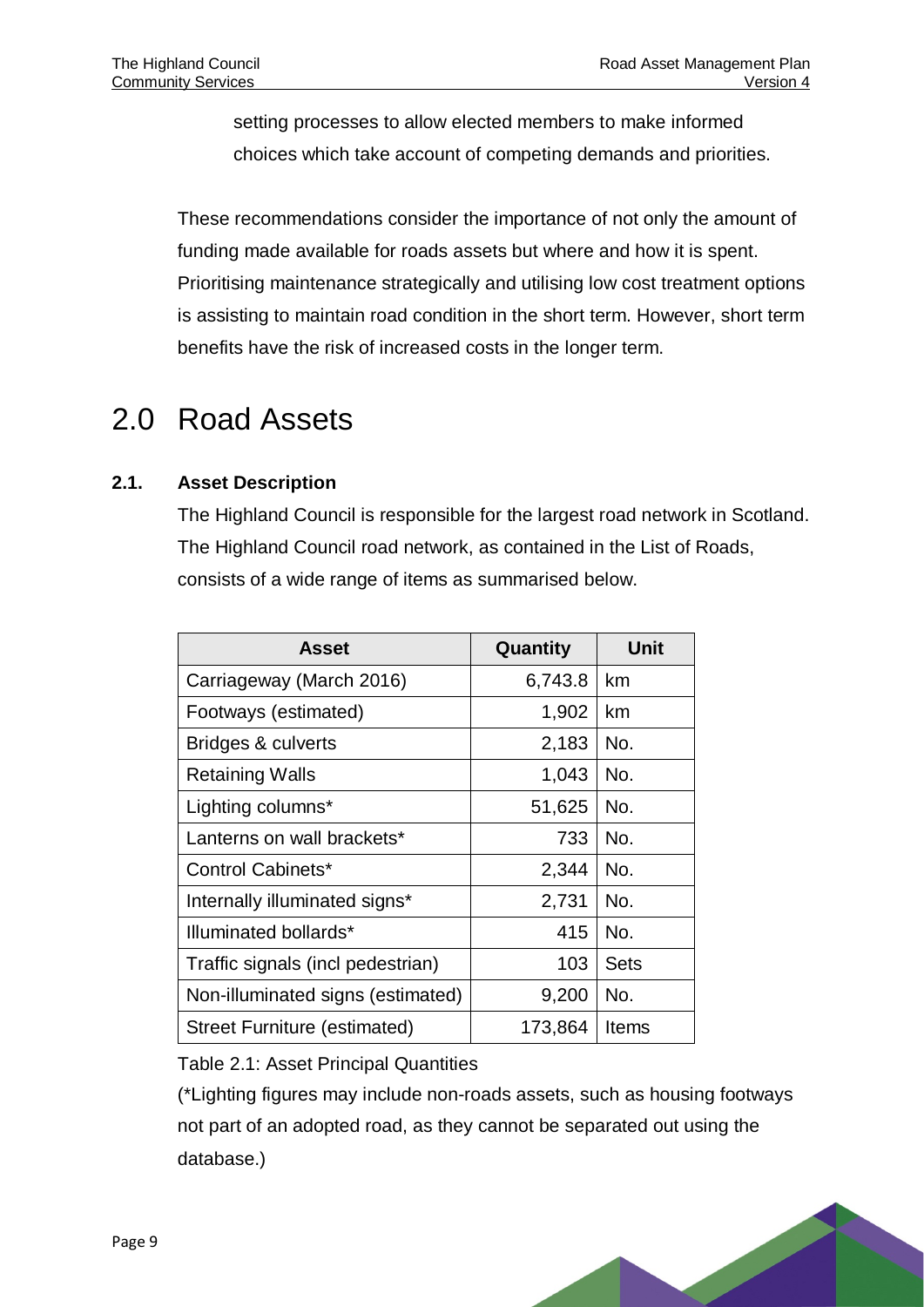setting processes to allow elected members to make informed choices which take account of competing demands and priorities.

These recommendations consider the importance of not only the amount of funding made available for roads assets but where and how it is spent. Prioritising maintenance strategically and utilising low cost treatment options is assisting to maintain road condition in the short term. However, short term benefits have the risk of increased costs in the longer term.

# <span id="page-11-0"></span>2.0 Road Assets

#### **2.1. Asset Description**

The Highland Council is responsible for the largest road network in Scotland. The Highland Council road network, as contained in the List of Roads, consists of a wide range of items as summarised below.

| <b>Asset</b>                        | Quantity | <b>Unit</b> |
|-------------------------------------|----------|-------------|
| Carriageway (March 2016)            | 6,743.8  | km          |
| Footways (estimated)                | 1,902    | km          |
| Bridges & culverts                  | 2,183    | No.         |
| <b>Retaining Walls</b>              | 1,043    | No.         |
| Lighting columns*                   | 51,625   | No.         |
| Lanterns on wall brackets*          | 733      | No.         |
| Control Cabinets*                   | 2,344    | No.         |
| Internally illuminated signs*       | 2,731    | No.         |
| Illuminated bollards*               | 415      | No.         |
| Traffic signals (incl pedestrian)   | 103      | <b>Sets</b> |
| Non-illuminated signs (estimated)   | 9,200    | No.         |
| <b>Street Furniture (estimated)</b> | 173,864  | Items       |

<span id="page-11-1"></span>Table 2.1: Asset Principal Quantities

(\*Lighting figures may include non-roads assets, such as housing footways not part of an adopted road, as they cannot be separated out using the database.)

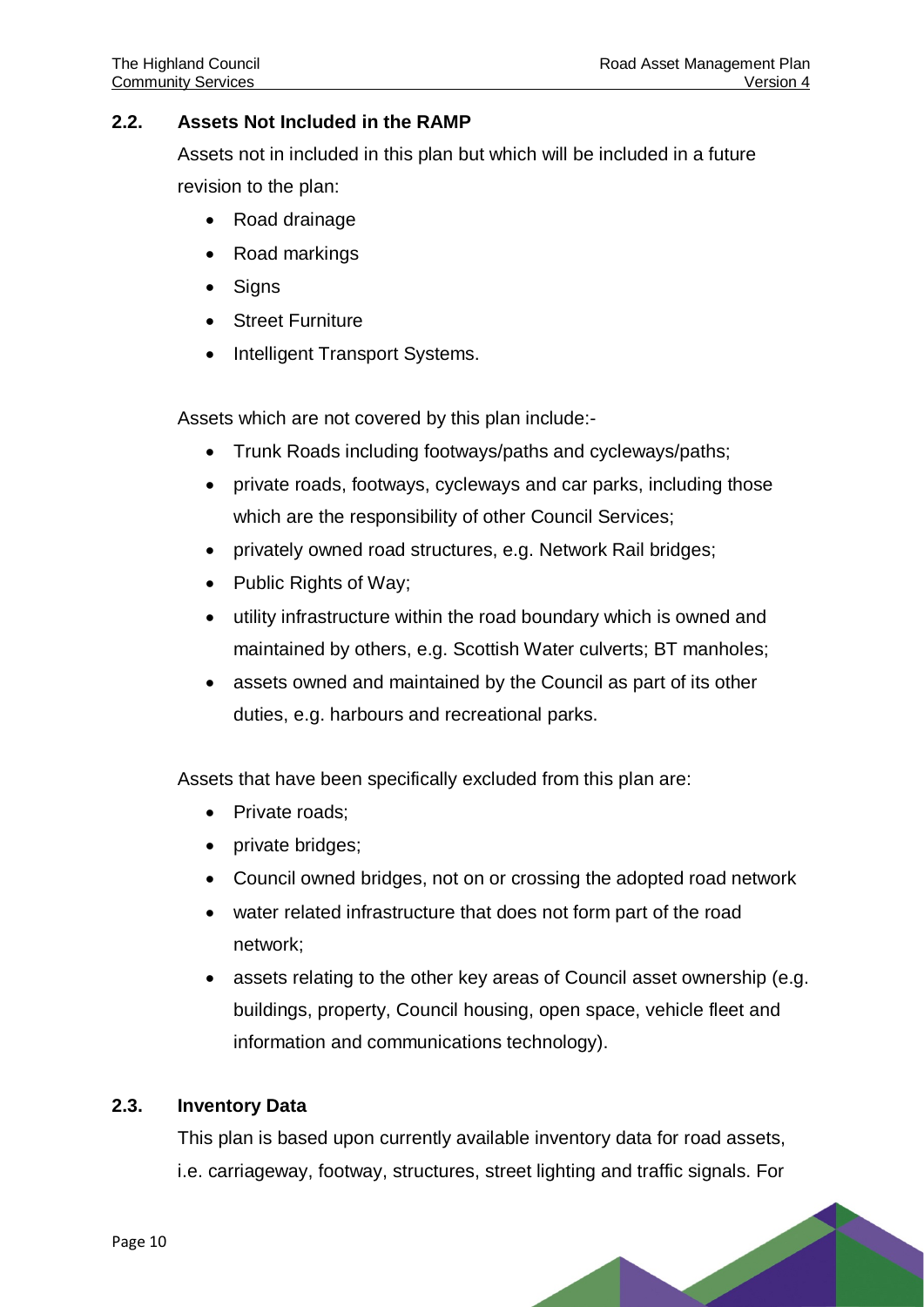#### **2.2. Assets Not Included in the RAMP**

Assets not in included in this plan but which will be included in a future revision to the plan:

- Road drainage
- Road markings
- Signs
- Street Furniture
- Intelligent Transport Systems.

Assets which are not covered by this plan include:-

- Trunk Roads including footways/paths and cycleways/paths;
- private roads, footways, cycleways and car parks, including those which are the responsibility of other Council Services;
- privately owned road structures, e.g. Network Rail bridges;
- Public Rights of Way;
- utility infrastructure within the road boundary which is owned and maintained by others, e.g. Scottish Water culverts; BT manholes;
- assets owned and maintained by the Council as part of its other duties, e.g. harbours and recreational parks.

Assets that have been specifically excluded from this plan are:

- Private roads:
- private bridges;
- Council owned bridges, not on or crossing the adopted road network
- water related infrastructure that does not form part of the road network;
- assets relating to the other key areas of Council asset ownership (e.g. buildings, property, Council housing, open space, vehicle fleet and information and communications technology).

#### **2.3. Inventory Data**

This plan is based upon currently available inventory data for road assets, i.e. carriageway, footway, structures, street lighting and traffic signals. For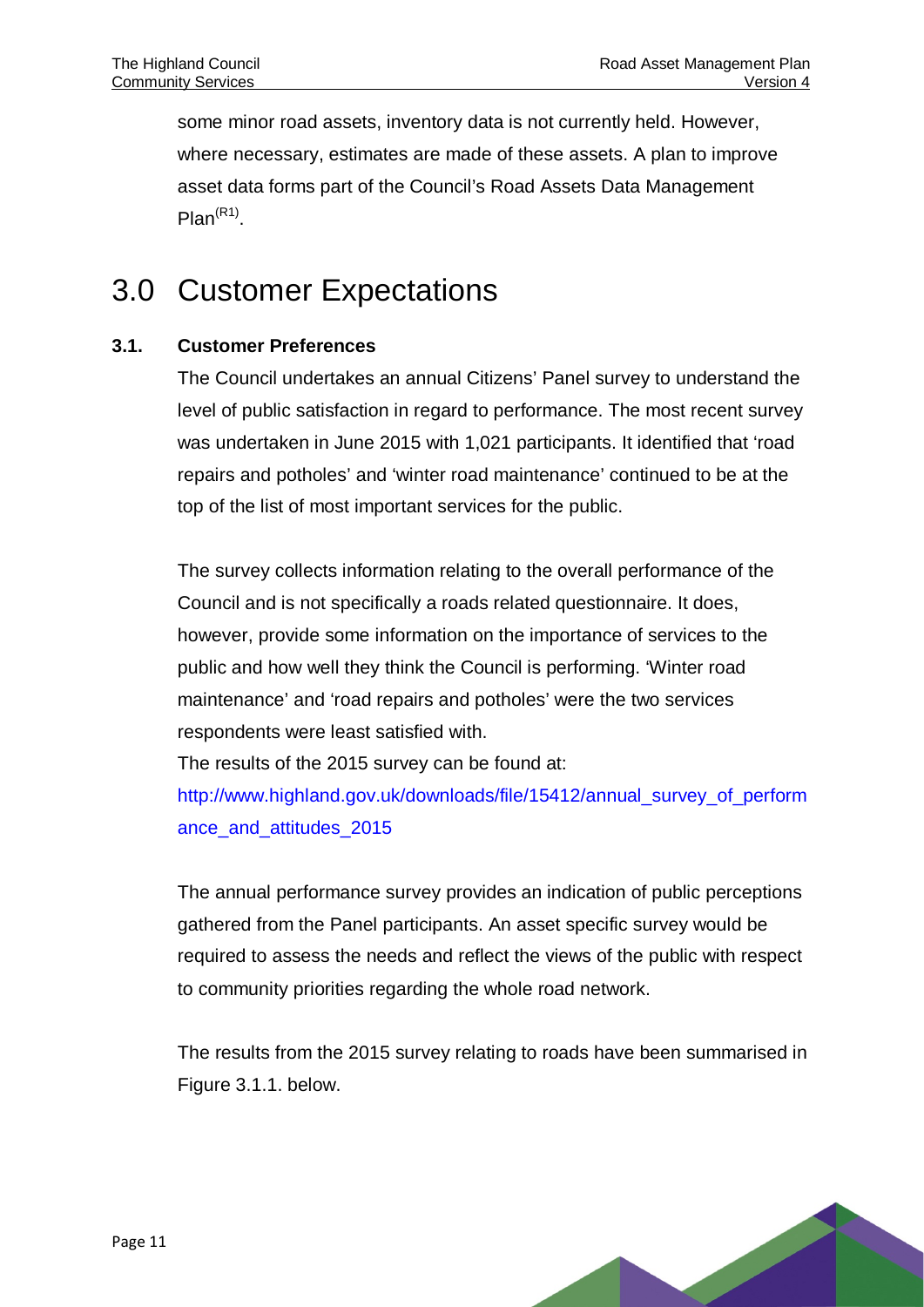some minor road assets, inventory data is not currently held. However, where necessary, estimates are made of these assets. A plan to improve asset data forms part of the Council's Road Assets Data Management Plan<sup>(R1)</sup>.

## <span id="page-13-0"></span>3.0 Customer Expectations

#### **3.1. Customer Preferences**

The Council undertakes an annual Citizens' Panel survey to understand the level of public satisfaction in regard to performance. The most recent survey was undertaken in June 2015 with 1,021 participants. It identified that 'road repairs and potholes' and 'winter road maintenance' continued to be at the top of the list of most important services for the public.

The survey collects information relating to the overall performance of the Council and is not specifically a roads related questionnaire. It does, however, provide some information on the importance of services to the public and how well they think the Council is performing. 'Winter road maintenance' and 'road repairs and potholes' were the two services respondents were least satisfied with.

The results of the 2015 survey can be found at:

[http://www.highland.gov.uk/downloads/file/15412/annual\\_survey\\_of\\_perform](http://www.highland.gov.uk/downloads/file/15412/annual_survey_of_performance_and_attitudes_2015) [ance\\_and\\_attitudes\\_2015](http://www.highland.gov.uk/downloads/file/15412/annual_survey_of_performance_and_attitudes_2015)

The annual performance survey provides an indication of public perceptions gathered from the Panel participants. An asset specific survey would be required to assess the needs and reflect the views of the public with respect to community priorities regarding the whole road network.

The results from the 2015 survey relating to roads have been summarised in Figure 3.1.1. below.

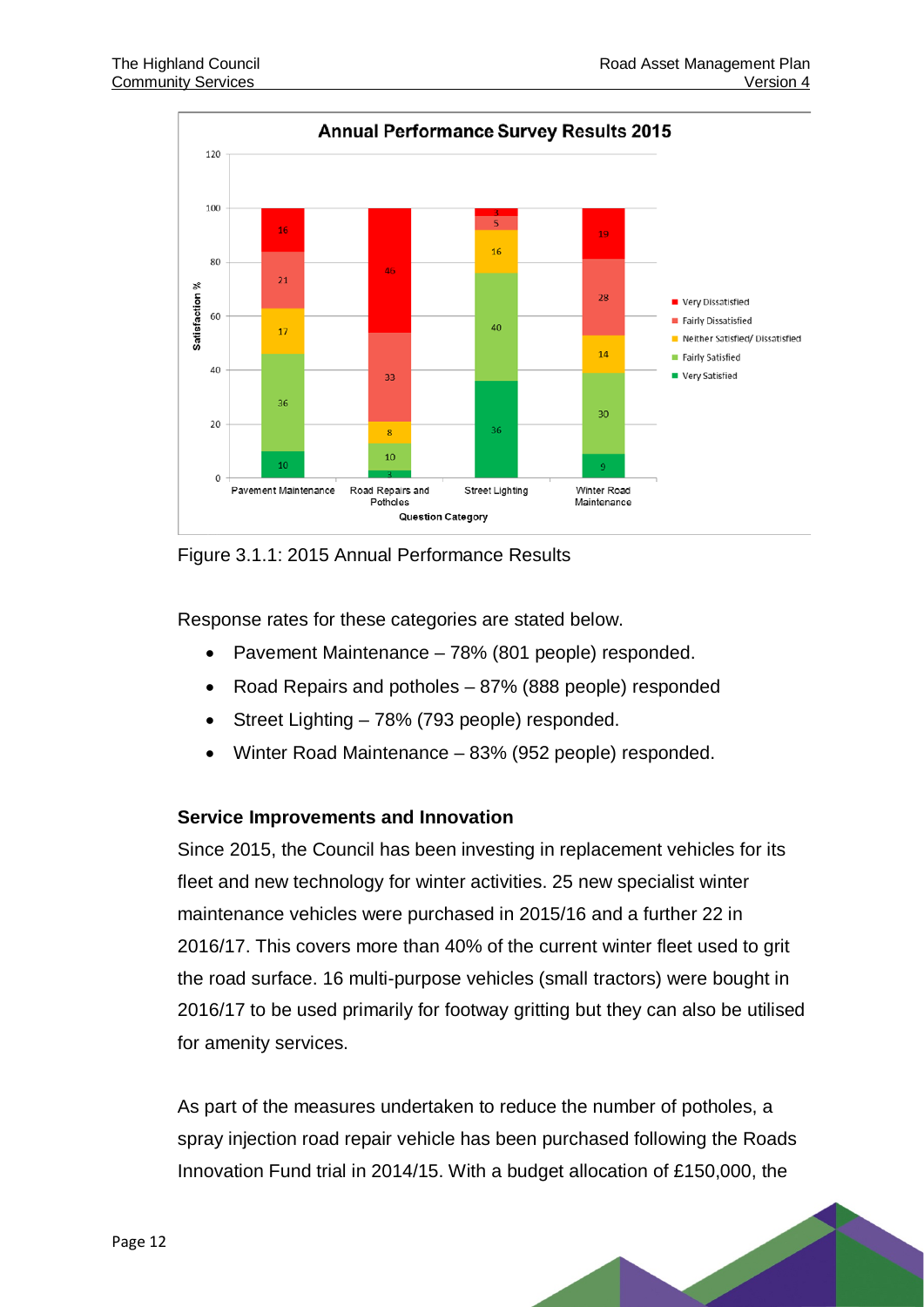

<span id="page-14-0"></span>Figure 3.1.1: 2015 Annual Performance Results

Response rates for these categories are stated below.

- Pavement Maintenance 78% (801 people) responded.
- Road Repairs and potholes 87% (888 people) responded
- Street Lighting 78% (793 people) responded.
- Winter Road Maintenance 83% (952 people) responded.

#### **Service Improvements and Innovation**

Since 2015, the Council has been investing in replacement vehicles for its fleet and new technology for winter activities. 25 new specialist winter maintenance vehicles were purchased in 2015/16 and a further 22 in 2016/17. This covers more than 40% of the current winter fleet used to grit the road surface. 16 multi-purpose vehicles (small tractors) were bought in 2016/17 to be used primarily for footway gritting but they can also be utilised for amenity services.

As part of the measures undertaken to reduce the number of potholes, a spray injection road repair vehicle has been purchased following the Roads Innovation Fund trial in 2014/15. With a budget allocation of £150,000, the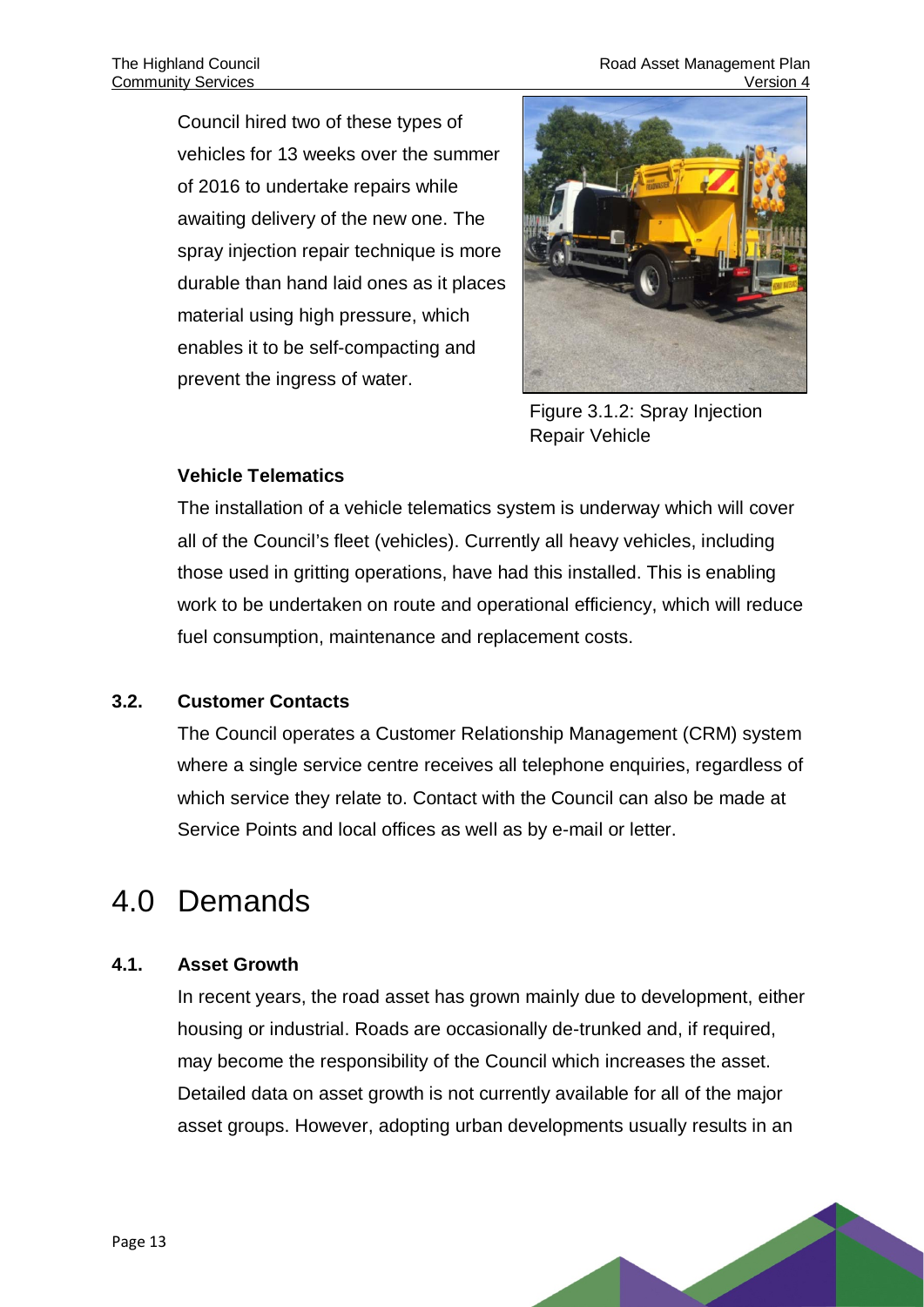The Highland Council **The Highland Council** Road Asset Management Plan **Community Services** Community Services **Version 4** 

Council hired two of these types of vehicles for 13 weeks over the summer of 2016 to undertake repairs while awaiting delivery of the new one. The spray injection repair technique is more durable than hand laid ones as it places material using high pressure, which enables it to be self-compacting and prevent the ingress of water.



Figure 3.1.2: Spray Injection Repair Vehicle

#### <span id="page-15-1"></span>**Vehicle Telematics**

The installation of a vehicle telematics system is underway which will cover all of the Council's fleet (vehicles). Currently all heavy vehicles, including those used in gritting operations, have had this installed. This is enabling work to be undertaken on route and operational efficiency, which will reduce fuel consumption, maintenance and replacement costs.

#### **3.2. Customer Contacts**

The Council operates a Customer Relationship Management (CRM) system where a single service centre receives all telephone enquiries, regardless of which service they relate to. Contact with the Council can also be made at Service Points and local offices as well as by e-mail or letter.

## <span id="page-15-0"></span>4.0 Demands

#### **4.1. Asset Growth**

In recent years, the road asset has grown mainly due to development, either housing or industrial. Roads are occasionally de-trunked and, if required, may become the responsibility of the Council which increases the asset. Detailed data on asset growth is not currently available for all of the major asset groups. However, adopting urban developments usually results in an

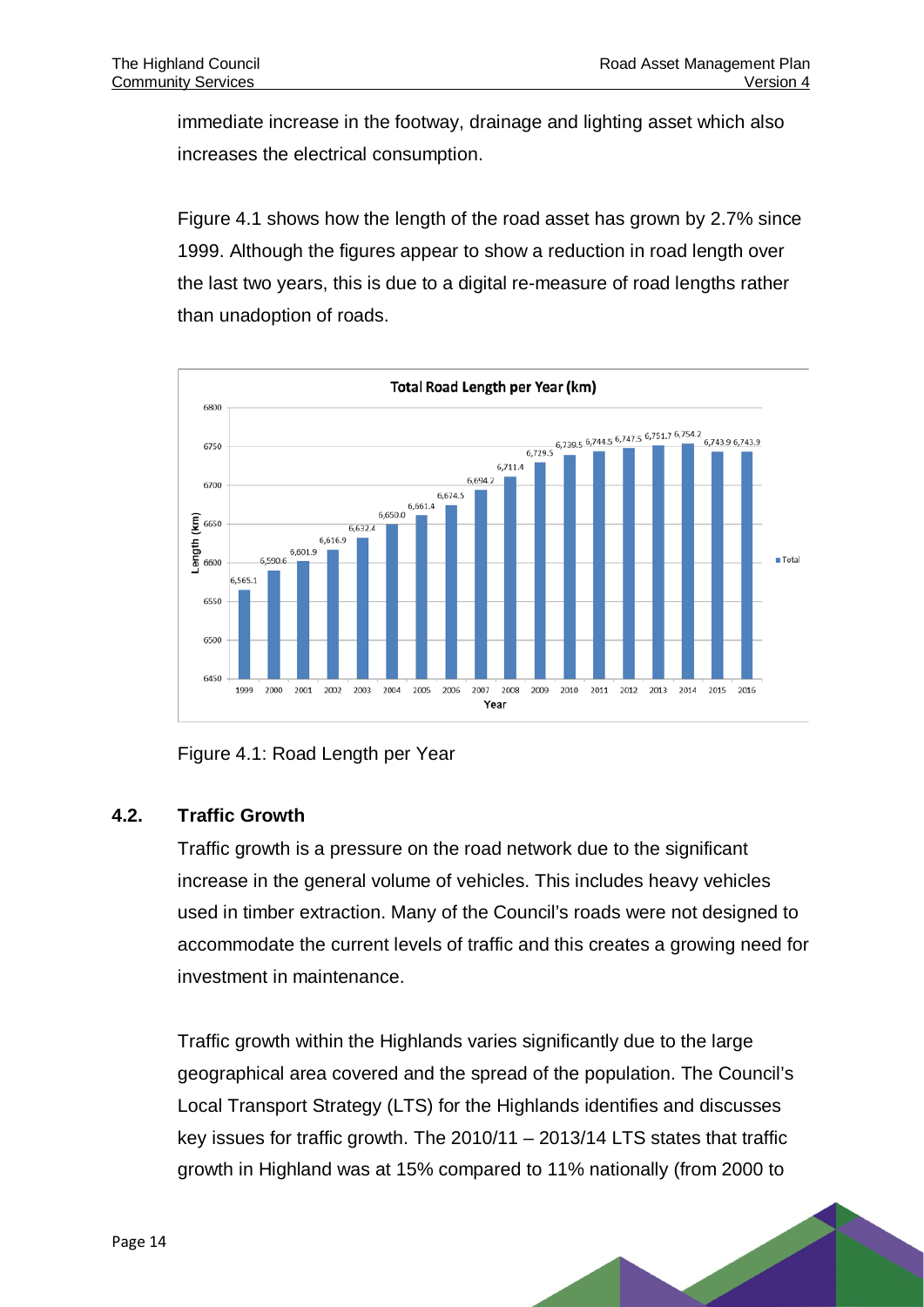immediate increase in the footway, drainage and lighting asset which also increases the electrical consumption.

Figure 4.1 shows how the length of the road asset has grown by 2.7% since 1999. Although the figures appear to show a reduction in road length over the last two years, this is due to a digital re-measure of road lengths rather than unadoption of roads.



#### <span id="page-16-0"></span>Figure 4.1: Road Length per Year

#### **4.2. Traffic Growth**

Traffic growth is a pressure on the road network due to the significant increase in the general volume of vehicles. This includes heavy vehicles used in timber extraction. Many of the Council's roads were not designed to accommodate the current levels of traffic and this creates a growing need for investment in maintenance.

Traffic growth within the Highlands varies significantly due to the large geographical area covered and the spread of the population. The Council's Local Transport Strategy (LTS) for the Highlands identifies and discusses key issues for traffic growth. The 2010/11 – 2013/14 LTS states that traffic growth in Highland was at 15% compared to 11% nationally (from 2000 to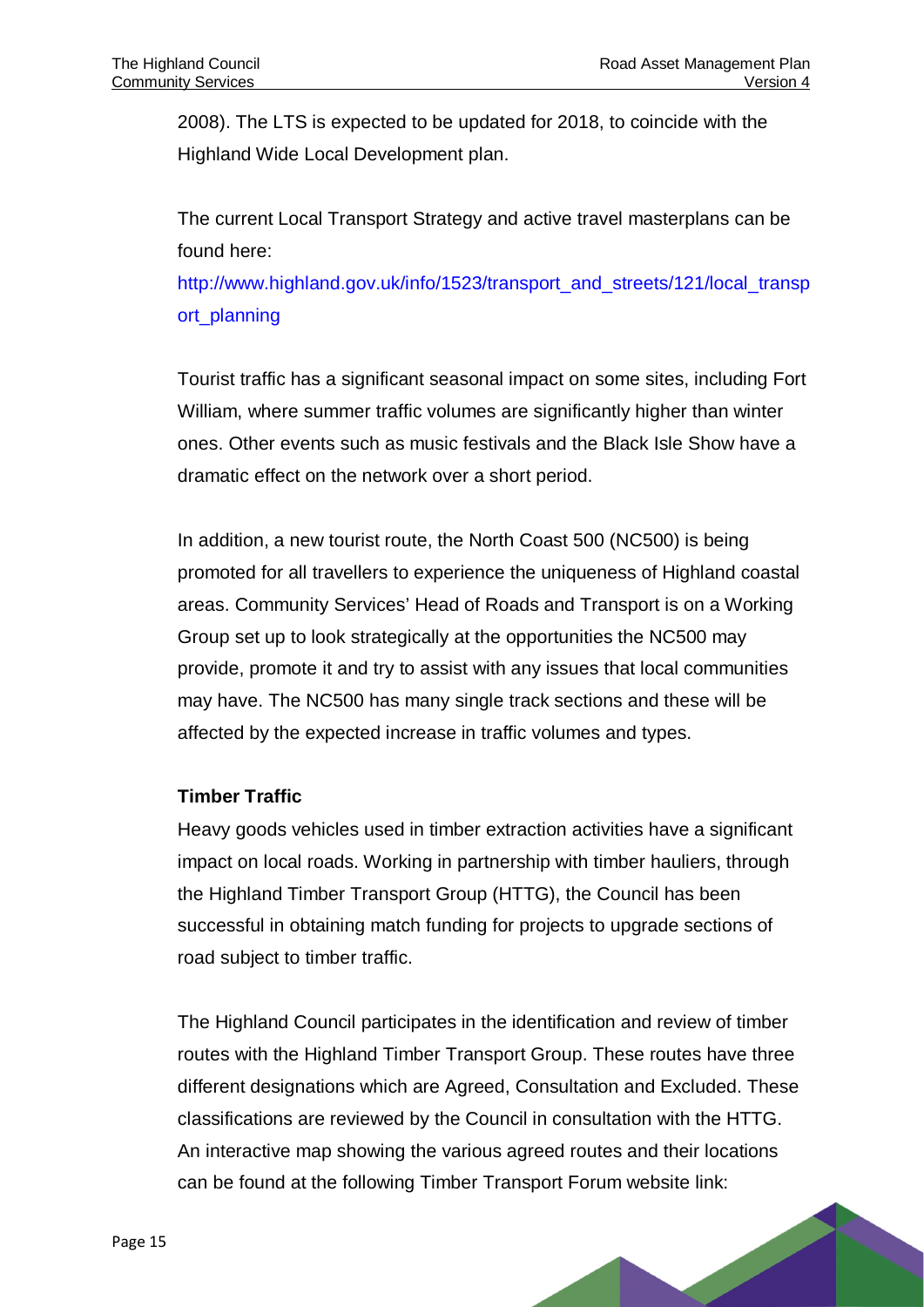2008). The LTS is expected to be updated for 2018, to coincide with the Highland Wide Local Development plan.

The current Local Transport Strategy and active travel masterplans can be found here:

[http://www.highland.gov.uk/info/1523/transport\\_and\\_streets/121/local\\_transp](http://www.highland.gov.uk/info/1523/transport_and_streets/121/local_transport_planning) [ort\\_planning](http://www.highland.gov.uk/info/1523/transport_and_streets/121/local_transport_planning)

Tourist traffic has a significant seasonal impact on some sites, including Fort William, where summer traffic volumes are significantly higher than winter ones. Other events such as music festivals and the Black Isle Show have a dramatic effect on the network over a short period.

In addition, a new tourist route, the North Coast 500 (NC500) is being promoted for all travellers to experience the uniqueness of Highland coastal areas. Community Services' Head of Roads and Transport is on a Working Group set up to look strategically at the opportunities the NC500 may provide, promote it and try to assist with any issues that local communities may have. The NC500 has many single track sections and these will be affected by the expected increase in traffic volumes and types.

#### **Timber Traffic**

Heavy goods vehicles used in timber extraction activities have a significant impact on local roads. Working in partnership with timber hauliers, through the Highland Timber Transport Group (HTTG), the Council has been successful in obtaining match funding for projects to upgrade sections of road subject to timber traffic.

The Highland Council participates in the identification and review of timber routes with the Highland Timber Transport Group. These routes have three different designations which are Agreed, Consultation and Excluded. These classifications are reviewed by the Council in consultation with the HTTG. An interactive map showing the various agreed routes and their locations can be found at the following Timber Transport Forum website link: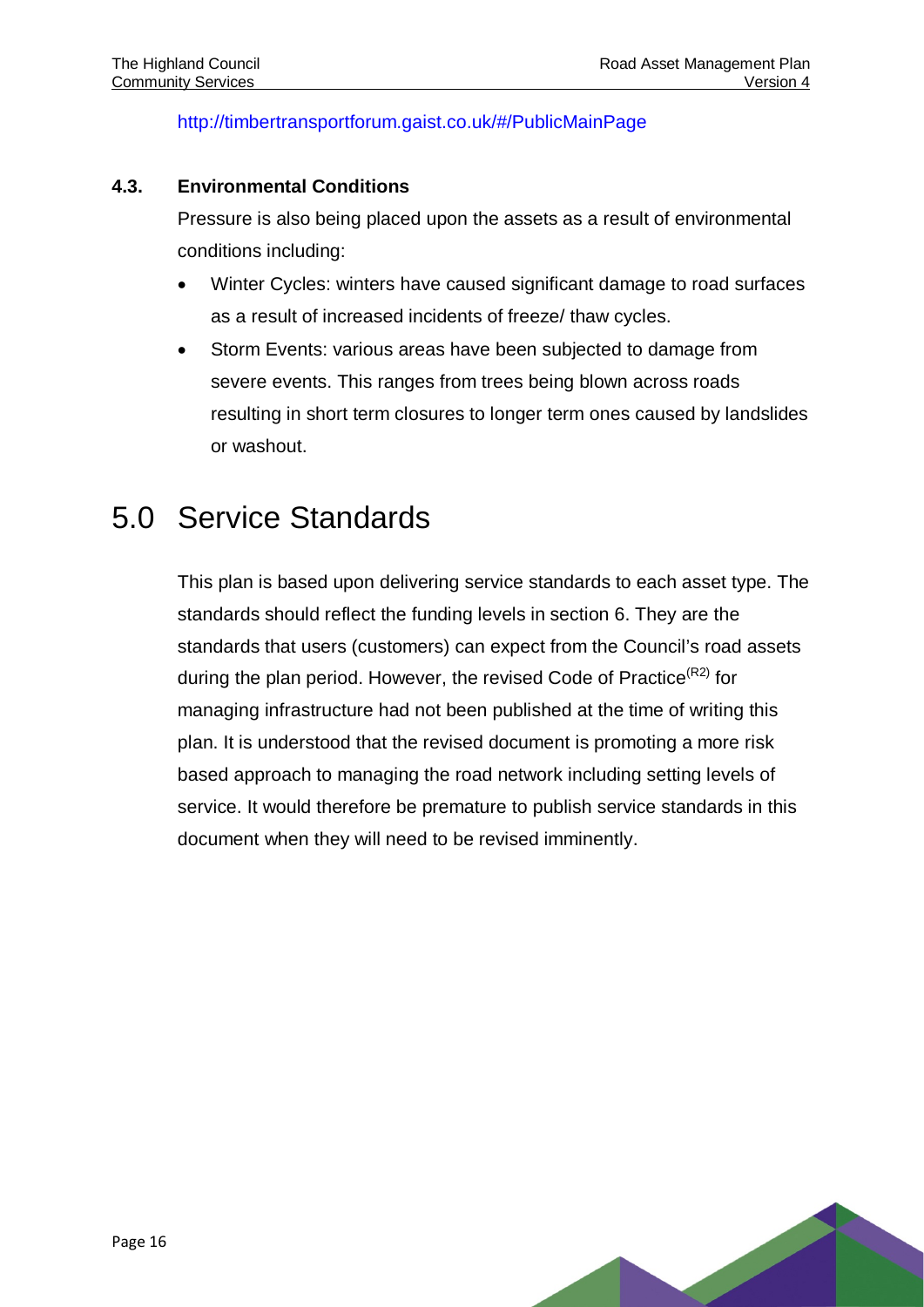<http://timbertransportforum.gaist.co.uk/#/PublicMainPage>

#### **4.3. Environmental Conditions**

Pressure is also being placed upon the assets as a result of environmental conditions including:

- Winter Cycles: winters have caused significant damage to road surfaces as a result of increased incidents of freeze/ thaw cycles.
- Storm Events: various areas have been subjected to damage from severe events. This ranges from trees being blown across roads resulting in short term closures to longer term ones caused by landslides or washout.

## <span id="page-18-0"></span>5.0 Service Standards

<span id="page-18-1"></span>This plan is based upon delivering service standards to each asset type. The standards should reflect the funding levels in section 6. They are the standards that users (customers) can expect from the Council's road assets during the plan period. However, the revised Code of Practice $(R<sup>2</sup>)$  for managing infrastructure had not been published at the time of writing this plan. It is understood that the revised document is promoting a more risk based approach to managing the road network including setting levels of service. It would therefore be premature to publish service standards in this document when they will need to be revised imminently.

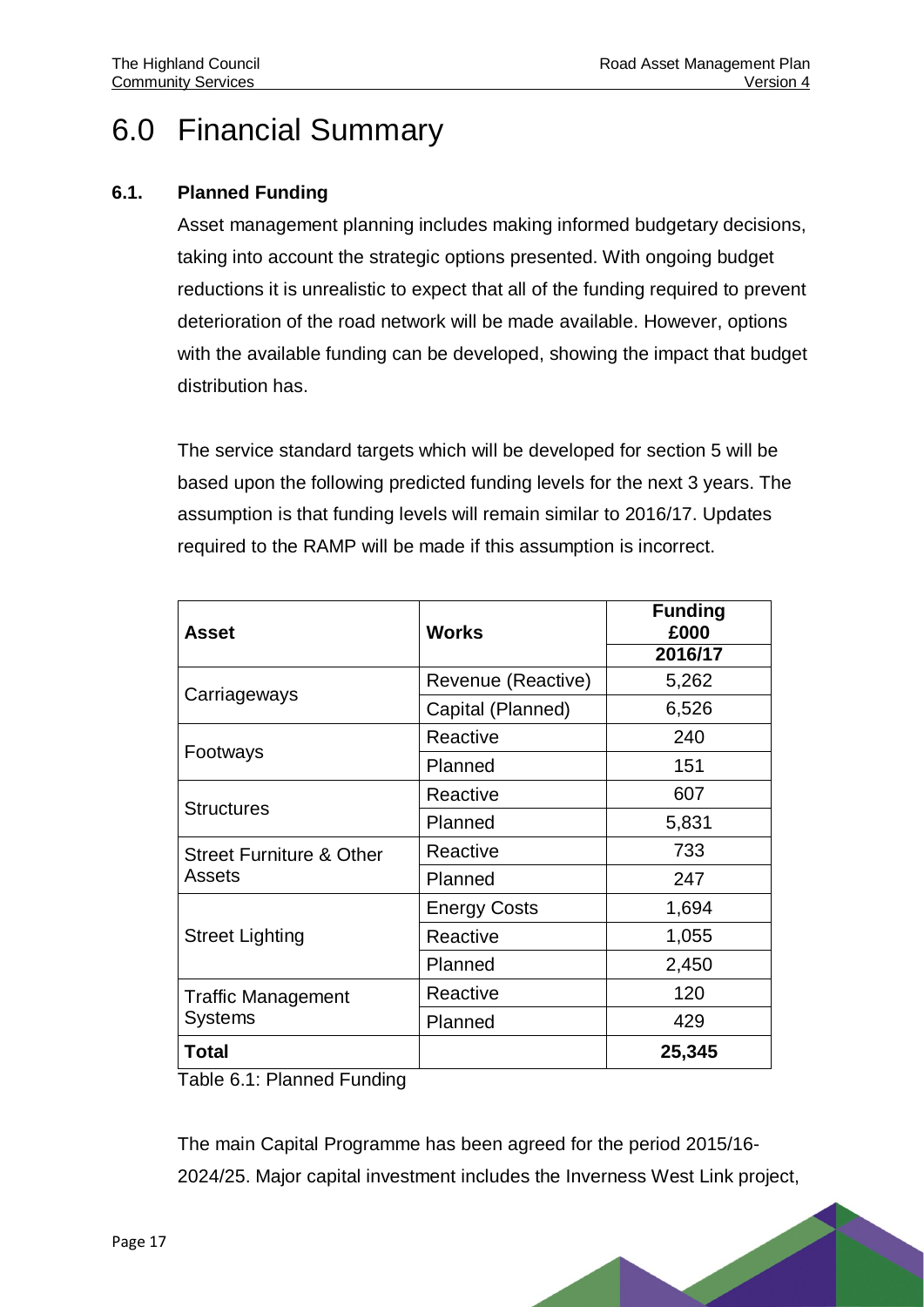# 6.0 Financial Summary

#### **6.1. Planned Funding**

Asset management planning includes making informed budgetary decisions, taking into account the strategic options presented. With ongoing budget reductions it is unrealistic to expect that all of the funding required to prevent deterioration of the road network will be made available. However, options with the available funding can be developed, showing the impact that budget distribution has.

The service standard targets which will be developed for section 5 will be based upon the following predicted funding levels for the next 3 years. The assumption is that funding levels will remain similar to 2016/17. Updates required to the RAMP will be made if this assumption is incorrect.

| Asset                               | <b>Works</b>        | <b>Funding</b><br>£000 |
|-------------------------------------|---------------------|------------------------|
|                                     |                     | 2016/17                |
| Carriageways                        | Revenue (Reactive)  | 5,262                  |
|                                     | Capital (Planned)   | 6,526                  |
|                                     | Reactive            | 240                    |
| Footways                            | Planned             | 151                    |
| <b>Structures</b>                   | Reactive            | 607                    |
|                                     | Planned             | 5,831                  |
| <b>Street Furniture &amp; Other</b> | Reactive            | 733                    |
| Assets                              | Planned             | 247                    |
|                                     | <b>Energy Costs</b> | 1,694                  |
| <b>Street Lighting</b>              | Reactive            | 1,055                  |
|                                     | Planned             | 2,450                  |
| <b>Traffic Management</b>           | Reactive            | 120                    |
| <b>Systems</b>                      | Planned             | 429                    |
| Total                               |                     | 25,345                 |

<span id="page-19-0"></span>Table 6.1: Planned Funding

The main Capital Programme has been agreed for the period 2015/16- 2024/25. Major capital investment includes the Inverness West Link project,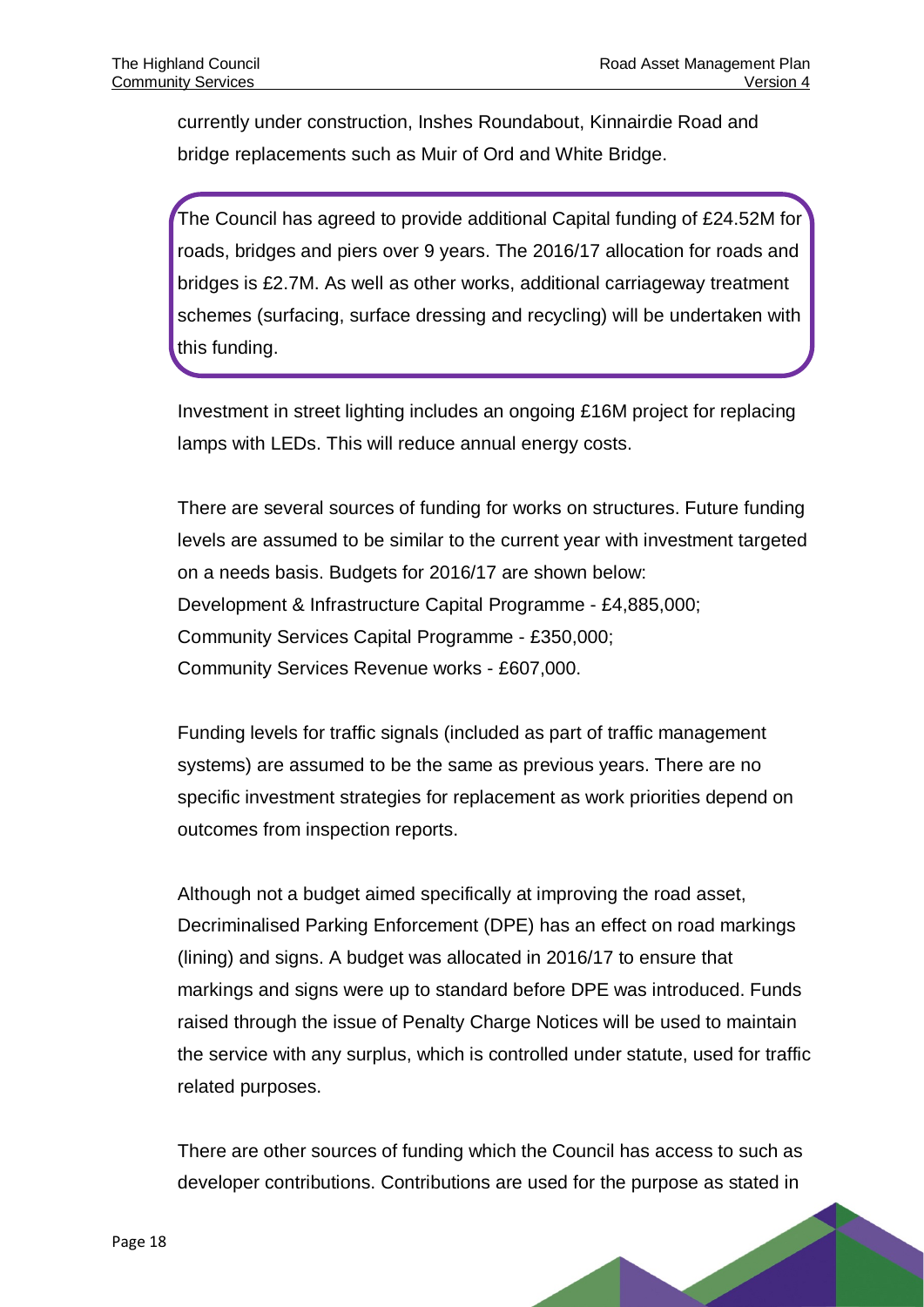currently under construction, Inshes Roundabout, Kinnairdie Road and bridge replacements such as Muir of Ord and White Bridge.

The Council has agreed to provide additional Capital funding of £24.52M for roads, bridges and piers over 9 years. The 2016/17 allocation for roads and bridges is £2.7M. As well as other works, additional carriageway treatment schemes (surfacing, surface dressing and recycling) will be undertaken with this funding.

Investment in street lighting includes an ongoing £16M project for replacing lamps with LEDs. This will reduce annual energy costs.

There are several sources of funding for works on structures. Future funding levels are assumed to be similar to the current year with investment targeted on a needs basis. Budgets for 2016/17 are shown below: Development & Infrastructure Capital Programme - £4,885,000; Community Services Capital Programme - £350,000; Community Services Revenue works - £607,000.

Funding levels for traffic signals (included as part of traffic management systems) are assumed to be the same as previous years. There are no specific investment strategies for replacement as work priorities depend on outcomes from inspection reports.

Although not a budget aimed specifically at improving the road asset, Decriminalised Parking Enforcement (DPE) has an effect on road markings (lining) and signs. A budget was allocated in 2016/17 to ensure that markings and signs were up to standard before DPE was introduced. Funds raised through the issue of Penalty Charge Notices will be used to maintain the service with any surplus, which is controlled under statute, used for traffic related purposes.

There are other sources of funding which the Council has access to such as developer contributions. Contributions are used for the purpose as stated in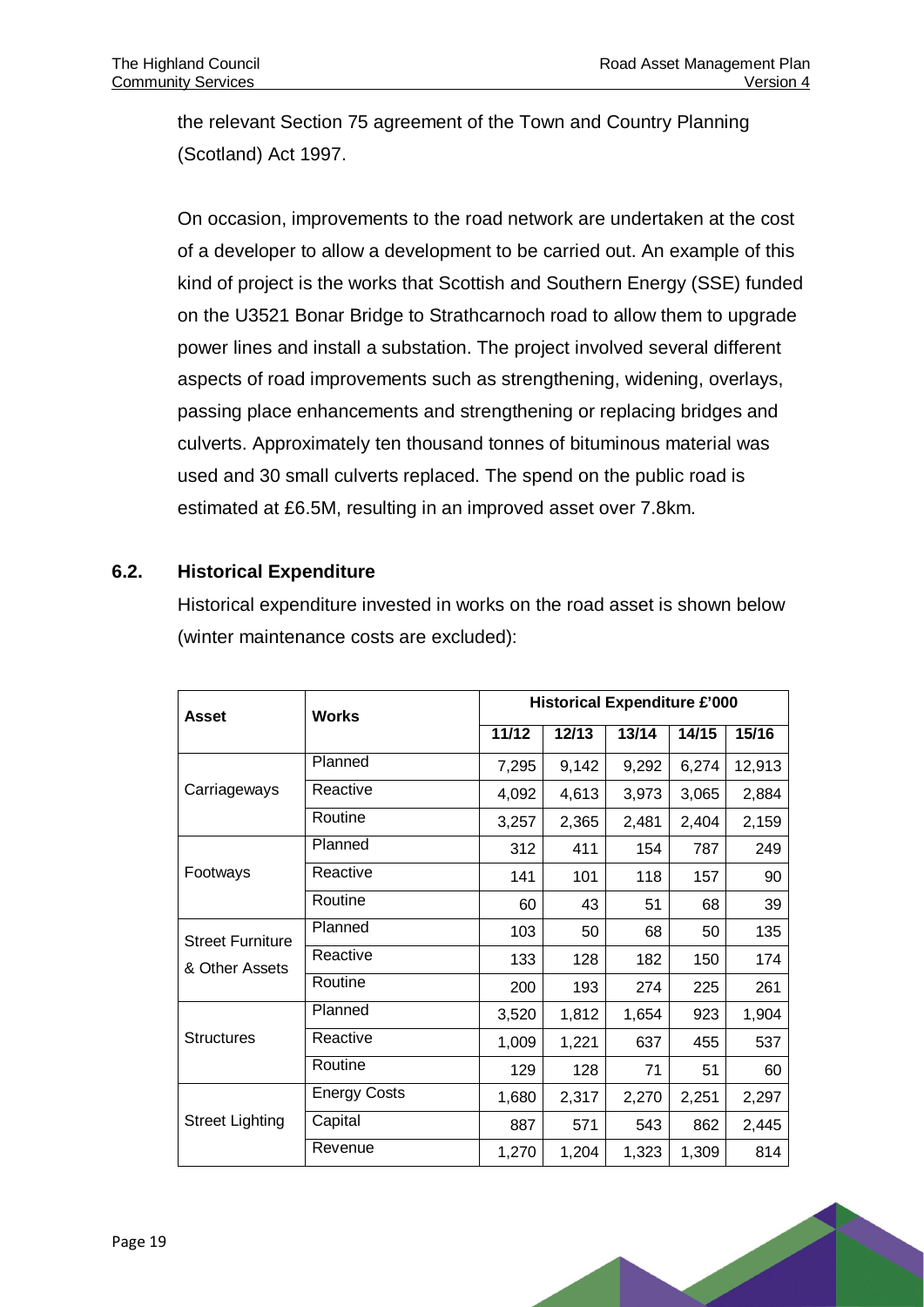the relevant Section 75 agreement of the Town and Country Planning (Scotland) Act 1997.

On occasion, improvements to the road network are undertaken at the cost of a developer to allow a development to be carried out. An example of this kind of project is the works that Scottish and Southern Energy (SSE) funded on the U3521 Bonar Bridge to Strathcarnoch road to allow them to upgrade power lines and install a substation. The project involved several different aspects of road improvements such as strengthening, widening, overlays, passing place enhancements and strengthening or replacing bridges and culverts. Approximately ten thousand tonnes of bituminous material was used and 30 small culverts replaced. The spend on the public road is estimated at £6.5M, resulting in an improved asset over 7.8km.

#### **6.2. Historical Expenditure**

Historical expenditure invested in works on the road asset is shown below (winter maintenance costs are excluded):

| <b>Asset</b>            | <b>Works</b>        | <b>Historical Expenditure £'000</b> |       |       |       |        |
|-------------------------|---------------------|-------------------------------------|-------|-------|-------|--------|
|                         |                     | 11/12                               | 12/13 | 13/14 | 14/15 | 15/16  |
|                         | Planned             | 7,295                               | 9,142 | 9,292 | 6,274 | 12,913 |
| Carriageways            | Reactive            | 4,092                               | 4,613 | 3,973 | 3,065 | 2,884  |
|                         | Routine             | 3,257                               | 2,365 | 2,481 | 2,404 | 2,159  |
|                         | Planned             | 312                                 | 411   | 154   | 787   | 249    |
| Footways                | Reactive            | 141                                 | 101   | 118   | 157   | 90     |
|                         | Routine             | 60                                  | 43    | 51    | 68    | 39     |
| <b>Street Furniture</b> | Planned             | 103                                 | 50    | 68    | 50    | 135    |
| & Other Assets          | Reactive            | 133                                 | 128   | 182   | 150   | 174    |
|                         | Routine             | 200                                 | 193   | 274   | 225   | 261    |
|                         | Planned             | 3,520                               | 1,812 | 1,654 | 923   | 1,904  |
| <b>Structures</b>       | Reactive            | 1,009                               | 1,221 | 637   | 455   | 537    |
|                         | Routine             | 129                                 | 128   | 71    | 51    | 60     |
|                         | <b>Energy Costs</b> | 1,680                               | 2,317 | 2,270 | 2,251 | 2,297  |
| <b>Street Lighting</b>  | Capital             | 887                                 | 571   | 543   | 862   | 2,445  |
|                         | Revenue             | 1,270                               | 1,204 | 1,323 | 1,309 | 814    |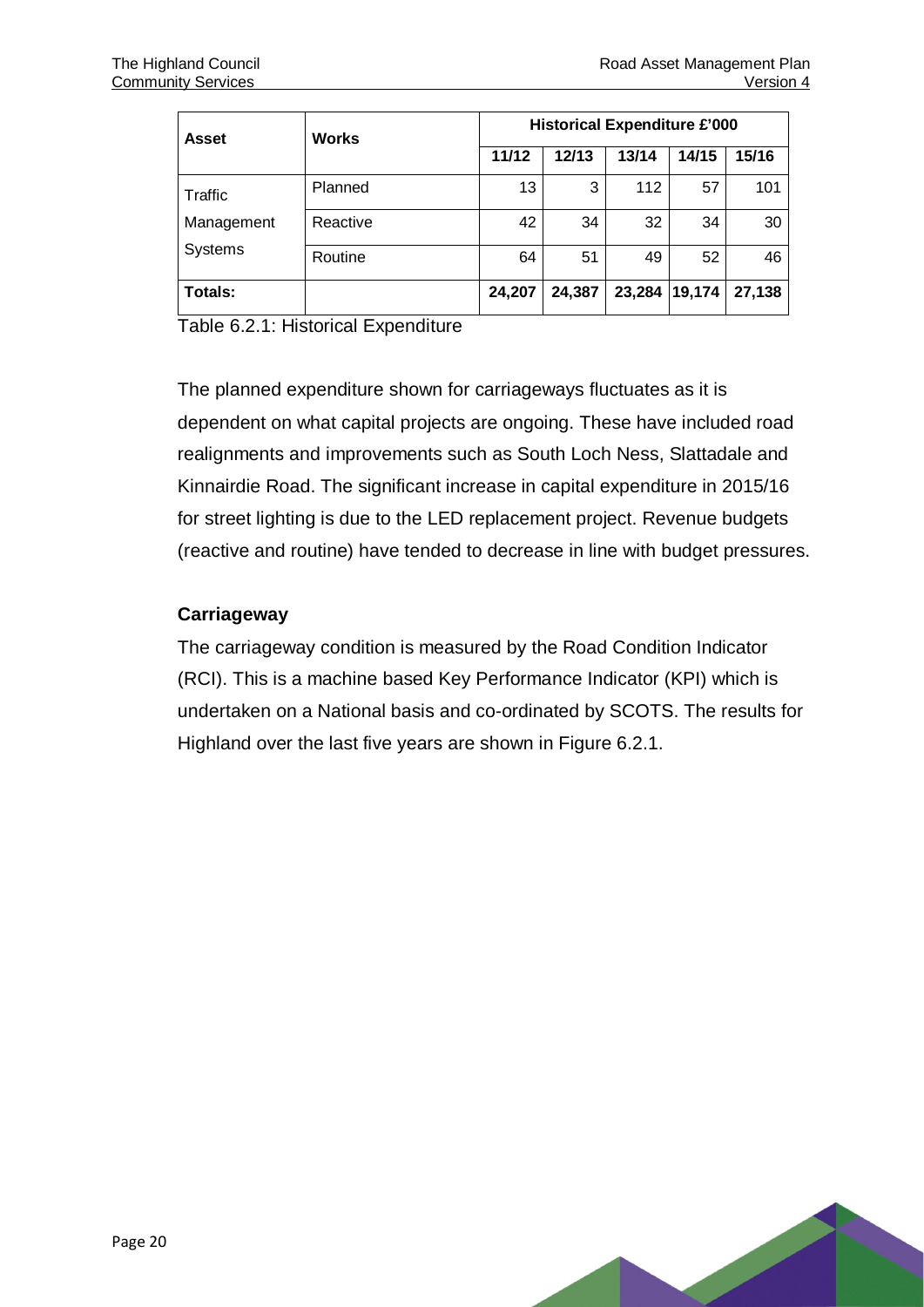| Asset          | <b>Works</b> | <b>Historical Expenditure £'000</b> |        |        |        |        |
|----------------|--------------|-------------------------------------|--------|--------|--------|--------|
|                |              | 11/12                               | 12/13  | 13/14  | 14/15  | 15/16  |
| Traffic        | Planned      | 13                                  | 3      | 112    | 57     | 101    |
| Management     | Reactive     | 42                                  | 34     | 32     | 34     | 30     |
| <b>Systems</b> | Routine      | 64                                  | 51     | 49     | 52     | 46     |
| Totals:        |              | 24,207                              | 24,387 | 23,284 | 19,174 | 27,138 |

<span id="page-22-0"></span>Table 6.2.1: Historical Expenditure

The planned expenditure shown for carriageways fluctuates as it is dependent on what capital projects are ongoing. These have included road realignments and improvements such as South Loch Ness, Slattadale and Kinnairdie Road. The significant increase in capital expenditure in 2015/16 for street lighting is due to the LED replacement project. Revenue budgets (reactive and routine) have tended to decrease in line with budget pressures.

#### **Carriageway**

The carriageway condition is measured by the Road Condition Indicator (RCI). This is a machine based Key Performance Indicator (KPI) which is undertaken on a National basis and co-ordinated by SCOTS. The results for Highland over the last five years are shown in Figure 6.2.1.

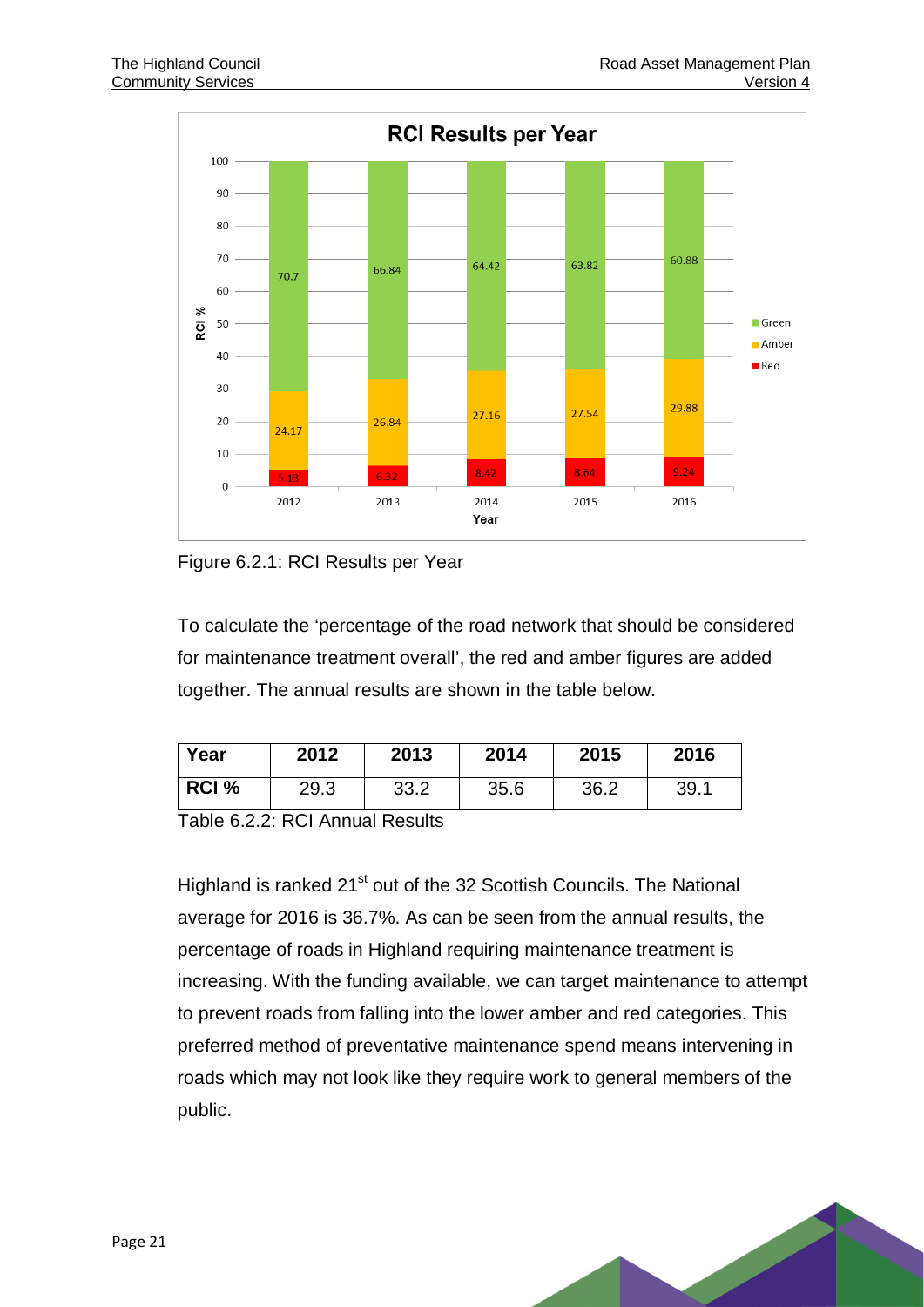

<span id="page-23-0"></span>Figure 6.2.1: RCI Results per Year

To calculate the 'percentage of the road network that should be considered for maintenance treatment overall', the red and amber figures are added together. The annual results are shown in the table below.

| Year  | 2012 | 2013 | 2014 | 2015 | 2016 |
|-------|------|------|------|------|------|
| RCI % | 29.3 | 33.2 | 35.6 | 36.2 | 39.1 |

<span id="page-23-1"></span>Table 6.2.2: RCI Annual Results

Highland is ranked 21<sup>st</sup> out of the 32 Scottish Councils. The National average for 2016 is 36.7%. As can be seen from the annual results, the percentage of roads in Highland requiring maintenance treatment is increasing. With the funding available, we can target maintenance to attempt to prevent roads from falling into the lower amber and red categories. This preferred method of preventative maintenance spend means intervening in roads which may not look like they require work to general members of the public.

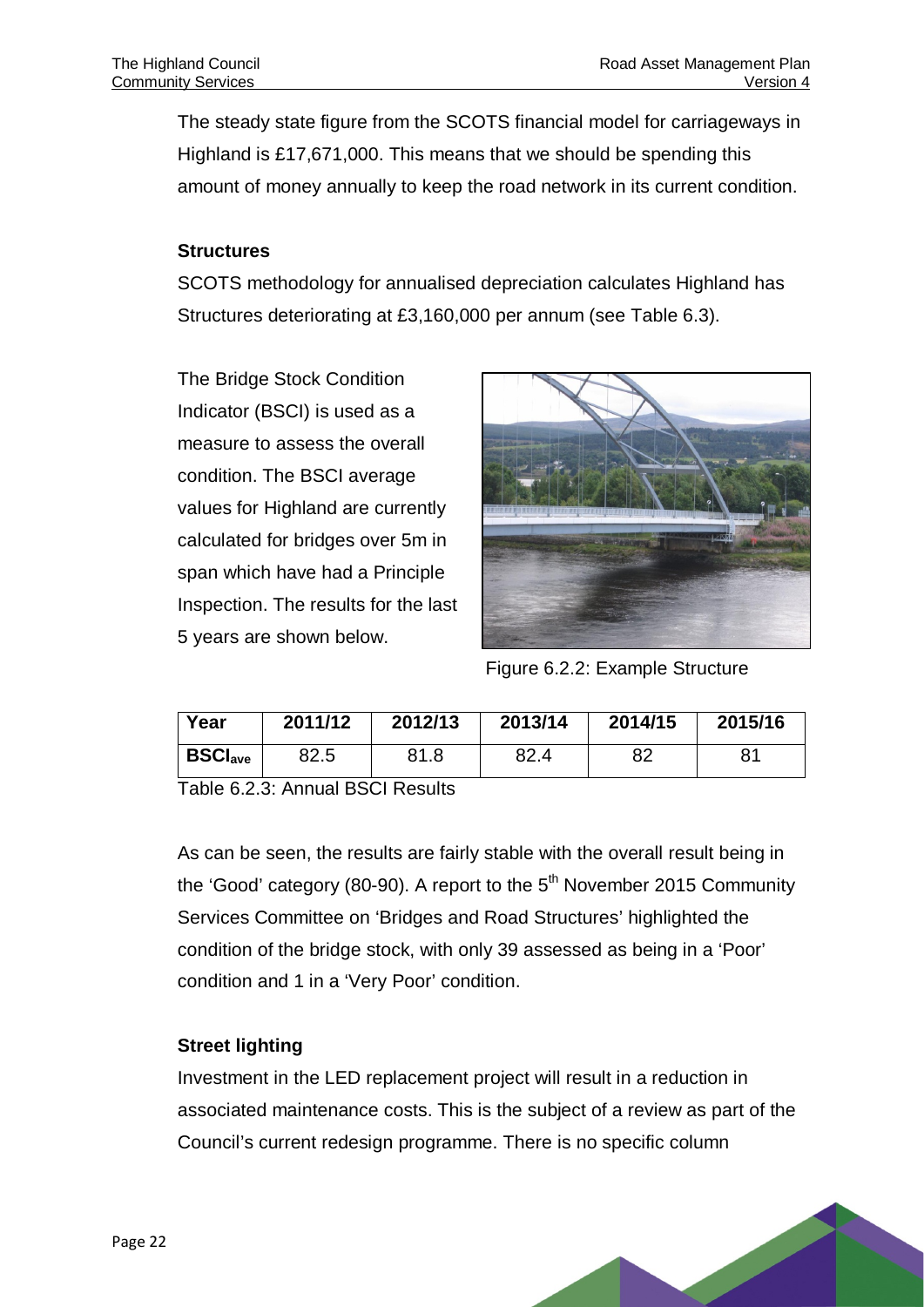The steady state figure from the SCOTS financial model for carriageways in Highland is £17,671,000. This means that we should be spending this amount of money annually to keep the road network in its current condition.

#### **Structures**

SCOTS methodology for annualised depreciation calculates Highland has Structures deteriorating at £3,160,000 per annum (see Table 6.3).

The Bridge Stock Condition Indicator (BSCI) is used as a measure to assess the overall condition. The BSCI average values for Highland are currently calculated for bridges over 5m in span which have had a Principle Inspection. The results for the last 5 years are shown below.



Figure 6.2.2: Example Structure

<span id="page-24-0"></span>

| Year                      | 2011/12 | 2012/13 | 2013/14 | 2014/15 | 2015/16 |
|---------------------------|---------|---------|---------|---------|---------|
| <b>BSCI<sub>ave</sub></b> | 82.5    | 81.8    | 82.4    | ററ      | 81      |

<span id="page-24-1"></span>Table 6.2.3: Annual BSCI Results

As can be seen, the results are fairly stable with the overall result being in the 'Good' category (80-90). A report to the  $5<sup>th</sup>$  November 2015 Community Services Committee on 'Bridges and Road Structures' highlighted the condition of the bridge stock, with only 39 assessed as being in a 'Poor' condition and 1 in a 'Very Poor' condition.

#### **Street lighting**

Investment in the LED replacement project will result in a reduction in associated maintenance costs. This is the subject of a review as part of the Council's current redesign programme. There is no specific column

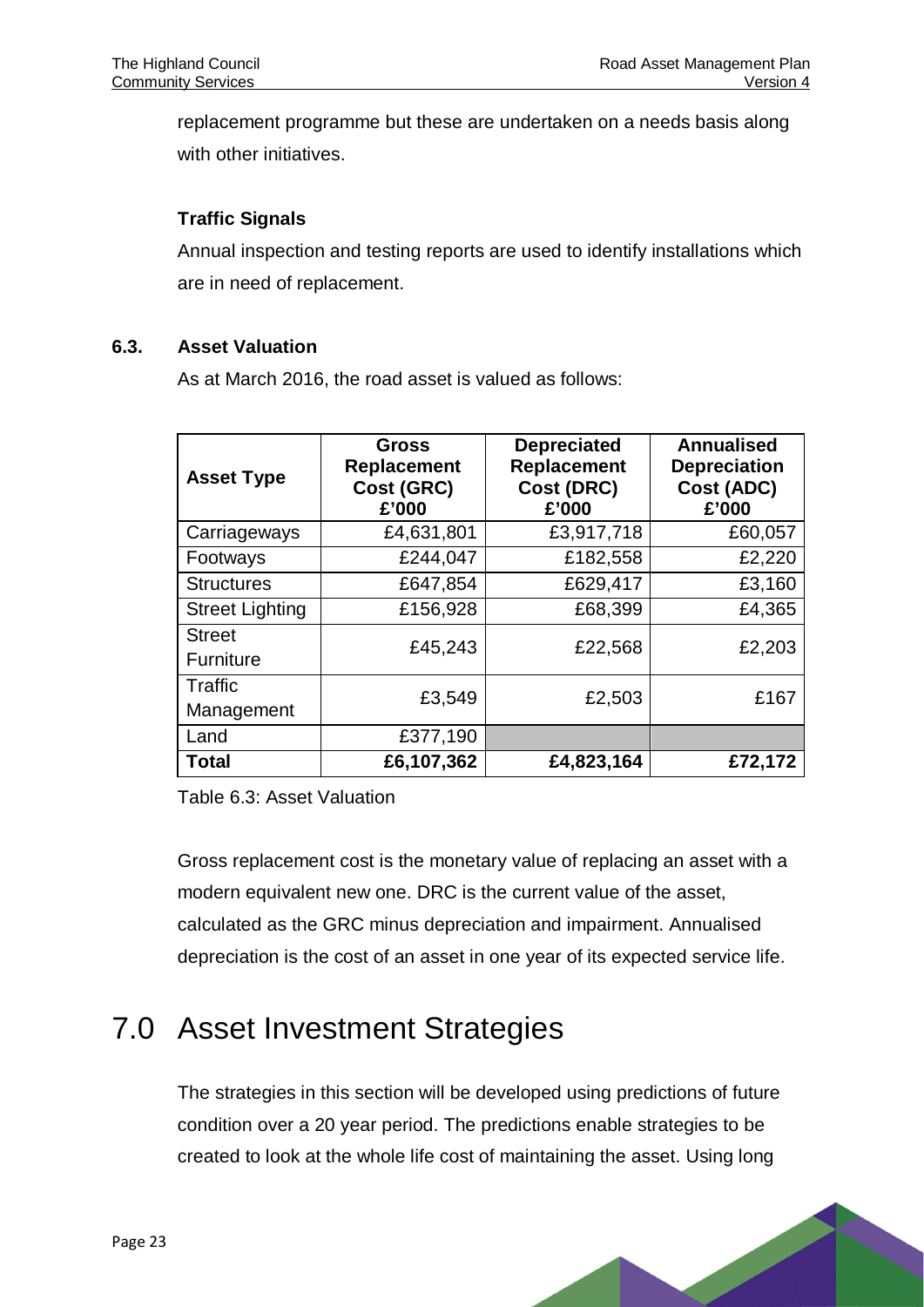replacement programme but these are undertaken on a needs basis along with other initiatives.

#### **Traffic Signals**

Annual inspection and testing reports are used to identify installations which are in need of replacement.

#### **6.3. Asset Valuation**

As at March 2016, the road asset is valued as follows:

| <b>Asset Type</b>      | <b>Gross</b><br>Replacement<br>Cost (GRC)<br>£'000 | <b>Depreciated</b><br><b>Replacement</b><br>Cost (DRC)<br>£'000 | <b>Annualised</b><br><b>Depreciation</b><br>Cost (ADC)<br>£'000 |  |
|------------------------|----------------------------------------------------|-----------------------------------------------------------------|-----------------------------------------------------------------|--|
| Carriageways           | £4,631,801                                         | £3,917,718                                                      | £60,057                                                         |  |
| Footways               | £244,047                                           | £182,558                                                        | £2,220                                                          |  |
| <b>Structures</b>      | £647,854                                           | £629,417                                                        | £3,160                                                          |  |
| <b>Street Lighting</b> | £156,928                                           | £68,399                                                         | £4,365                                                          |  |
| <b>Street</b>          | £45,243                                            | £22,568                                                         | £2,203                                                          |  |
| <b>Furniture</b>       |                                                    |                                                                 |                                                                 |  |
| Traffic                | £3,549                                             | £2,503                                                          | £167                                                            |  |
| Management             |                                                    |                                                                 |                                                                 |  |
| Land                   | £377,190                                           |                                                                 |                                                                 |  |
| Total                  | £6,107,362                                         | £4,823,164                                                      | £72,172                                                         |  |

<span id="page-25-1"></span>Table 6.3: Asset Valuation

Gross replacement cost is the monetary value of replacing an asset with a modern equivalent new one. DRC is the current value of the asset, calculated as the GRC minus depreciation and impairment. Annualised depreciation is the cost of an asset in one year of its expected service life.

# <span id="page-25-0"></span>7.0 Asset Investment Strategies

The strategies in this section will be developed using predictions of future condition over a 20 year period. The predictions enable strategies to be created to look at the whole life cost of maintaining the asset. Using long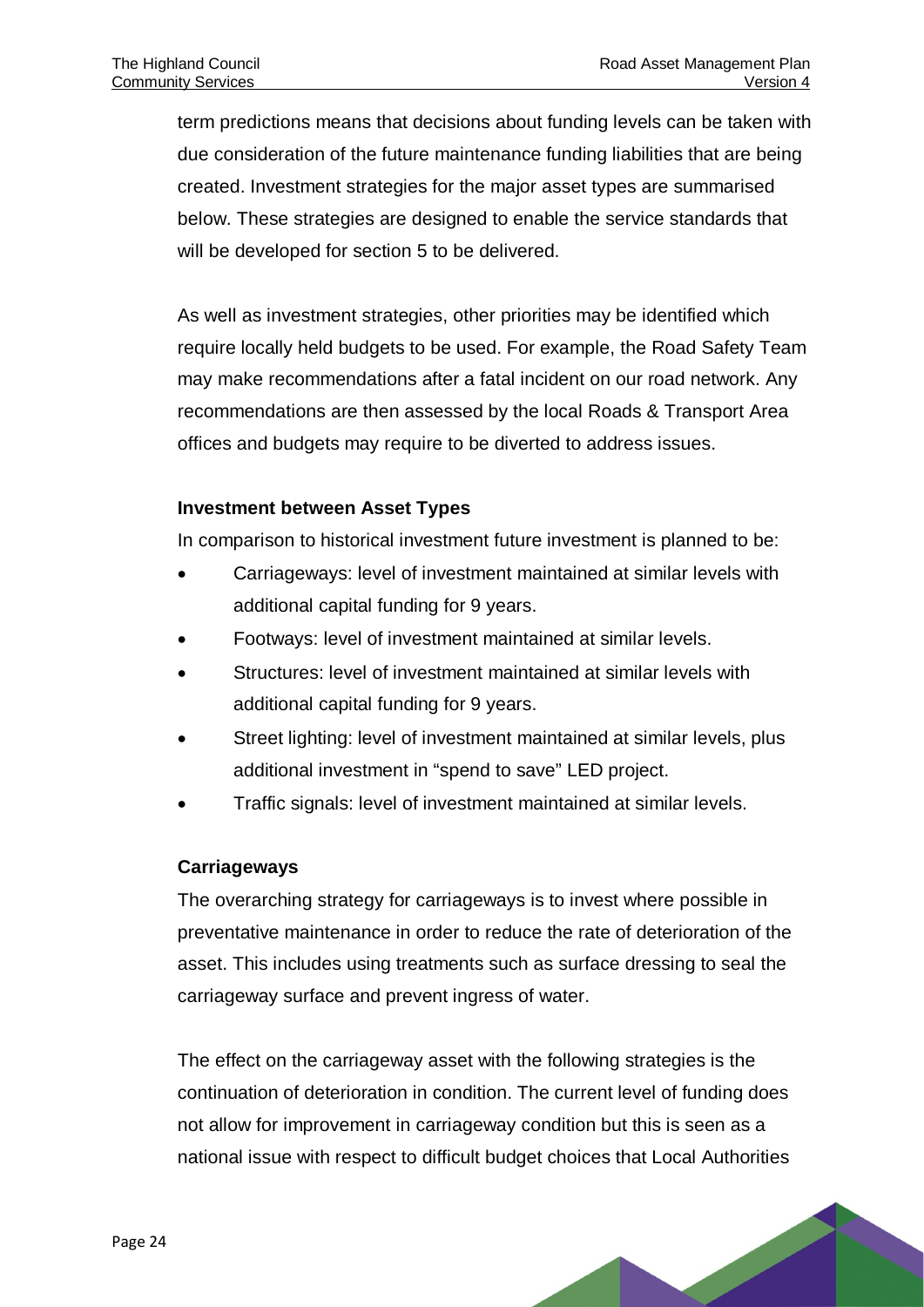term predictions means that decisions about funding levels can be taken with due consideration of the future maintenance funding liabilities that are being created. Investment strategies for the major asset types are summarised below. These strategies are designed to enable the service standards that will be developed for section 5 to be delivered.

As well as investment strategies, other priorities may be identified which require locally held budgets to be used. For example, the Road Safety Team may make recommendations after a fatal incident on our road network. Any recommendations are then assessed by the local Roads & Transport Area offices and budgets may require to be diverted to address issues.

#### **Investment between Asset Types**

In comparison to historical investment future investment is planned to be:

- Carriageways: level of investment maintained at similar levels with additional capital funding for 9 years.
- Footways: level of investment maintained at similar levels.
- Structures: level of investment maintained at similar levels with additional capital funding for 9 years.
- Street lighting: level of investment maintained at similar levels, plus additional investment in "spend to save" LED project.
- Traffic signals: level of investment maintained at similar levels.

#### **Carriageways**

The overarching strategy for carriageways is to invest where possible in preventative maintenance in order to reduce the rate of deterioration of the asset. This includes using treatments such as surface dressing to seal the carriageway surface and prevent ingress of water.

The effect on the carriageway asset with the following strategies is the continuation of deterioration in condition. The current level of funding does not allow for improvement in carriageway condition but this is seen as a national issue with respect to difficult budget choices that Local Authorities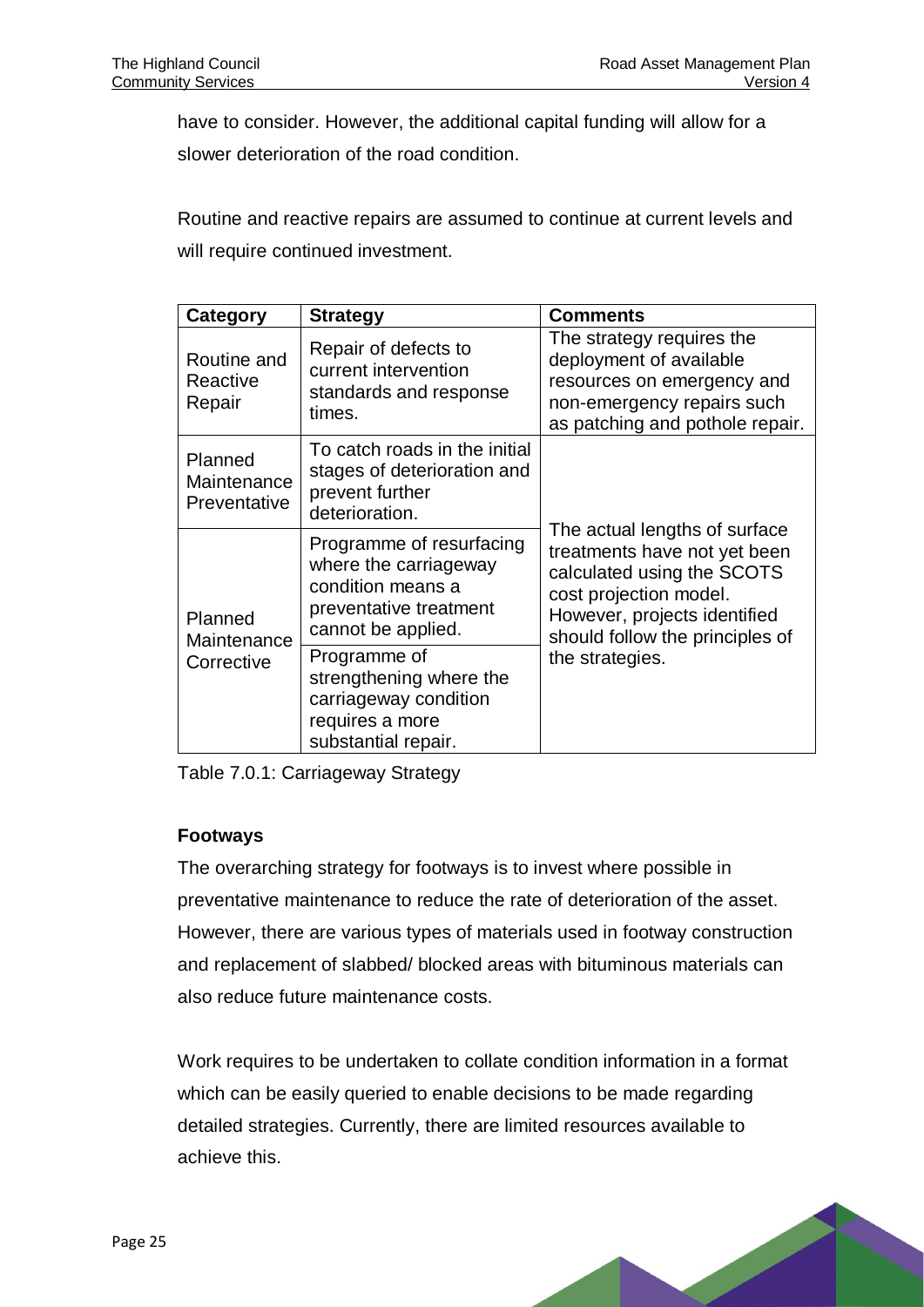have to consider. However, the additional capital funding will allow for a slower deterioration of the road condition.

Routine and reactive repairs are assumed to continue at current levels and will require continued investment.

| <b>Category</b>                        | <b>Strategy</b>                                                                                                        | <b>Comments</b>                                                                                                                                                                          |  |
|----------------------------------------|------------------------------------------------------------------------------------------------------------------------|------------------------------------------------------------------------------------------------------------------------------------------------------------------------------------------|--|
| Routine and<br>Reactive<br>Repair      | Repair of defects to<br>current intervention<br>standards and response<br>times.                                       | The strategy requires the<br>deployment of available<br>resources on emergency and<br>non-emergency repairs such<br>as patching and pothole repair.                                      |  |
| Planned<br>Maintenance<br>Preventative | To catch roads in the initial<br>stages of deterioration and<br>prevent further<br>deterioration.                      |                                                                                                                                                                                          |  |
| Planned<br>Maintenance<br>Corrective   | Programme of resurfacing<br>where the carriageway<br>condition means a<br>preventative treatment<br>cannot be applied. | The actual lengths of surface<br>treatments have not yet been<br>calculated using the SCOTS<br>cost projection model.<br>However, projects identified<br>should follow the principles of |  |
|                                        | Programme of<br>strengthening where the<br>carriageway condition<br>requires a more<br>substantial repair.             | the strategies.                                                                                                                                                                          |  |

<span id="page-27-0"></span>Table 7.0.1: Carriageway Strategy

#### **Footways**

The overarching strategy for footways is to invest where possible in preventative maintenance to reduce the rate of deterioration of the asset. However, there are various types of materials used in footway construction and replacement of slabbed/ blocked areas with bituminous materials can also reduce future maintenance costs.

Work requires to be undertaken to collate condition information in a format which can be easily queried to enable decisions to be made regarding detailed strategies. Currently, there are limited resources available to achieve this.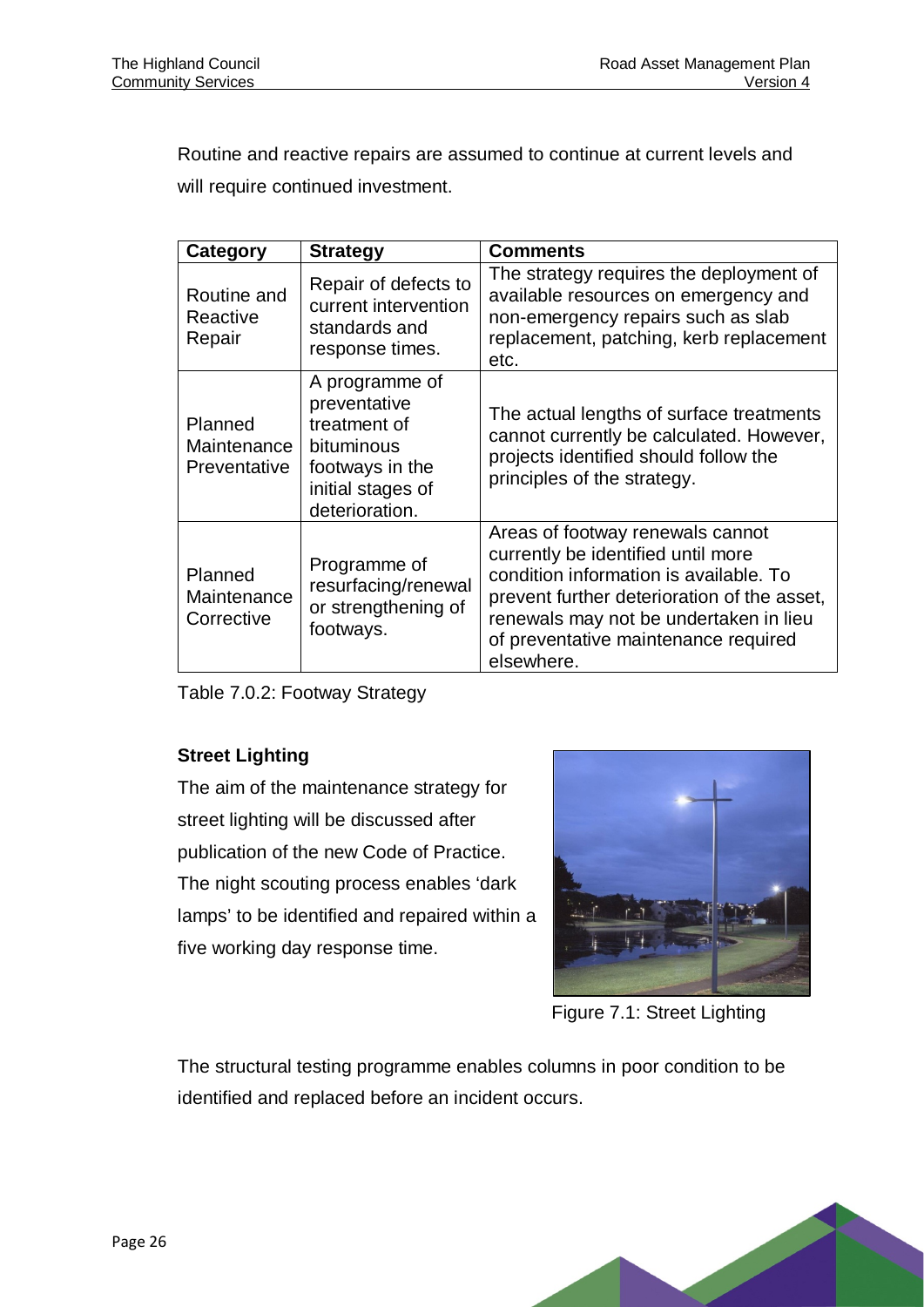Routine and reactive repairs are assumed to continue at current levels and will require continued investment.

| Category                               | <b>Strategy</b>                                                                                                        | <b>Comments</b>                                                                                                                                                                                                                                                 |
|----------------------------------------|------------------------------------------------------------------------------------------------------------------------|-----------------------------------------------------------------------------------------------------------------------------------------------------------------------------------------------------------------------------------------------------------------|
| Routine and<br>Reactive<br>Repair      | Repair of defects to<br>current intervention<br>standards and<br>response times.                                       | The strategy requires the deployment of<br>available resources on emergency and<br>non-emergency repairs such as slab<br>replacement, patching, kerb replacement<br>etc.                                                                                        |
| Planned<br>Maintenance<br>Preventative | A programme of<br>preventative<br>treatment of<br>bituminous<br>footways in the<br>initial stages of<br>deterioration. | The actual lengths of surface treatments<br>cannot currently be calculated. However,<br>projects identified should follow the<br>principles of the strategy.                                                                                                    |
| Planned<br>Maintenance<br>Corrective   | Programme of<br>resurfacing/renewal<br>or strengthening of<br>footways.                                                | Areas of footway renewals cannot<br>currently be identified until more<br>condition information is available. To<br>prevent further deterioration of the asset,<br>renewals may not be undertaken in lieu<br>of preventative maintenance required<br>elsewhere. |

<span id="page-28-1"></span>Table 7.0.2: Footway Strategy

#### **Street Lighting**

The aim of the maintenance strategy for street lighting will be discussed after publication of the new Code of Practice. The night scouting process enables 'dark lamps' to be identified and repaired within a five working day response time.



Figure 7.1: Street Lighting

<span id="page-28-0"></span>The structural testing programme enables columns in poor condition to be identified and replaced before an incident occurs.

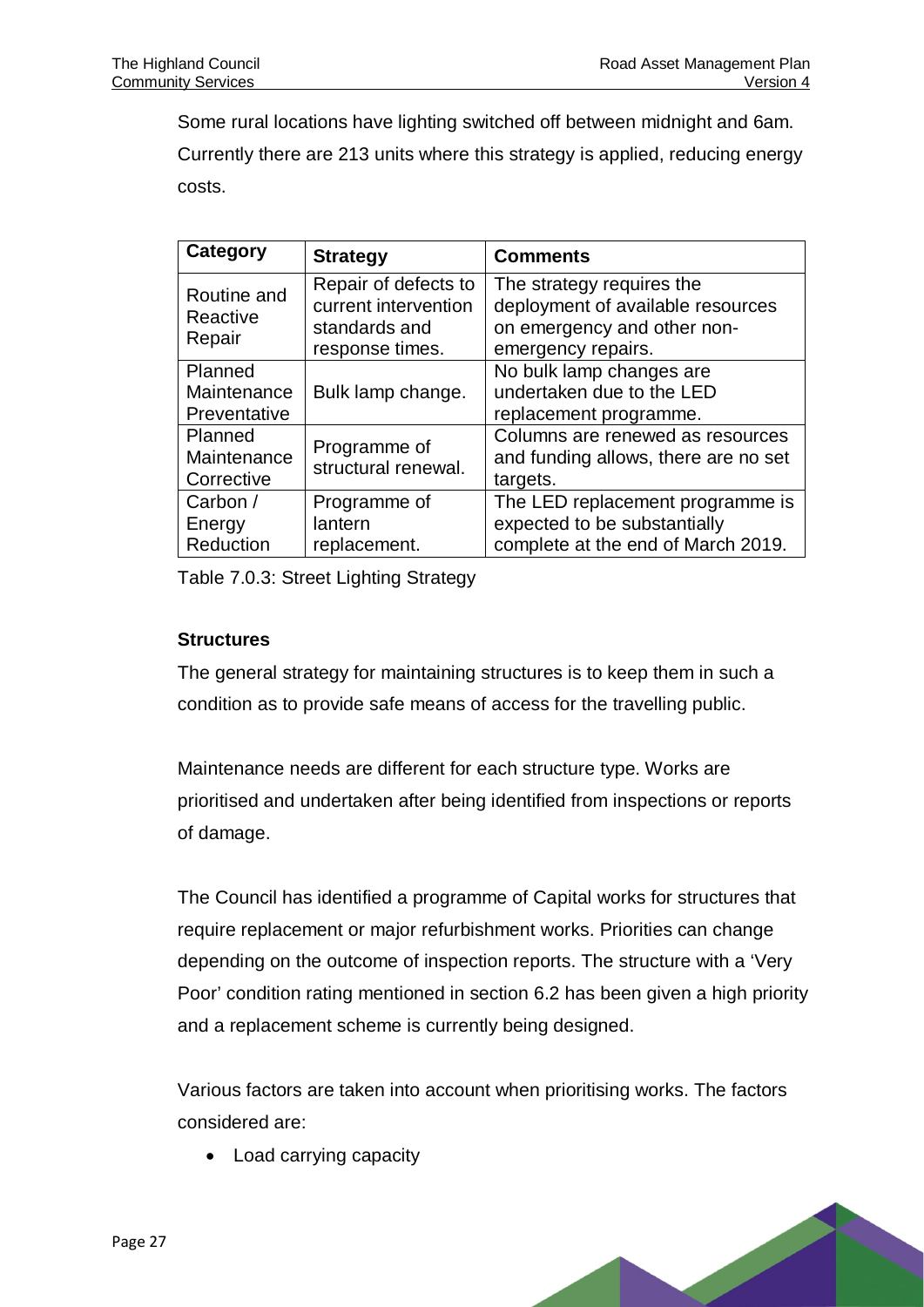Some rural locations have lighting switched off between midnight and 6am. Currently there are 213 units where this strategy is applied, reducing energy costs.

| Category                               | <b>Strategy</b>                                                                  | <b>Comments</b>                                                                                                     |  |
|----------------------------------------|----------------------------------------------------------------------------------|---------------------------------------------------------------------------------------------------------------------|--|
| Routine and<br>Reactive<br>Repair      | Repair of defects to<br>current intervention<br>standards and<br>response times. | The strategy requires the<br>deployment of available resources<br>on emergency and other non-<br>emergency repairs. |  |
| Planned<br>Maintenance<br>Preventative | Bulk lamp change.                                                                | No bulk lamp changes are<br>undertaken due to the LED<br>replacement programme.                                     |  |
| Planned<br>Maintenance<br>Corrective   | Programme of<br>structural renewal.                                              | Columns are renewed as resources<br>and funding allows, there are no set<br>targets.                                |  |
| Carbon /<br>Energy<br>Reduction        | Programme of<br>lantern<br>replacement.                                          | The LED replacement programme is<br>expected to be substantially<br>complete at the end of March 2019.              |  |

<span id="page-29-0"></span>Table 7.0.3: Street Lighting Strategy

#### **Structures**

The general strategy for maintaining structures is to keep them in such a condition as to provide safe means of access for the travelling public.

Maintenance needs are different for each structure type. Works are prioritised and undertaken after being identified from inspections or reports of damage.

The Council has identified a programme of Capital works for structures that require replacement or major refurbishment works. Priorities can change depending on the outcome of inspection reports. The structure with a 'Very Poor' condition rating mentioned in section 6.2 has been given a high priority and a replacement scheme is currently being designed.

Various factors are taken into account when prioritising works. The factors considered are:

• Load carrying capacity

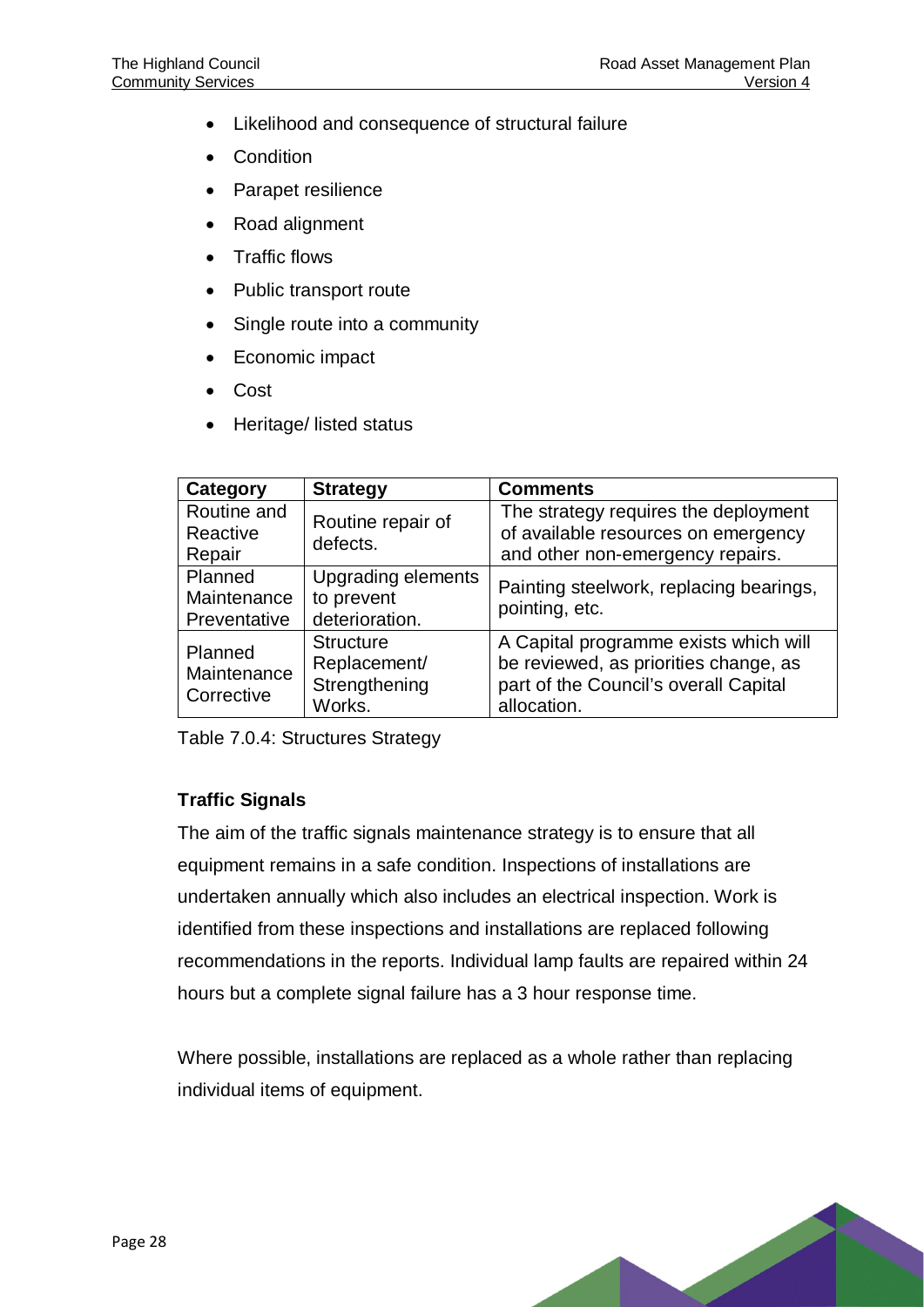- Likelihood and consequence of structural failure
- **Condition**
- Parapet resilience
- Road alignment
- Traffic flows
- Public transport route
- Single route into a community
- Economic impact
- Cost
- Heritage/ listed status

| Category                               | <b>Strategy</b>                                             | <b>Comments</b>                                                                                                                        |  |
|----------------------------------------|-------------------------------------------------------------|----------------------------------------------------------------------------------------------------------------------------------------|--|
| Routine and<br>Reactive                | Routine repair of<br>defects.                               | The strategy requires the deployment<br>of available resources on emergency                                                            |  |
| Repair                                 |                                                             | and other non-emergency repairs.                                                                                                       |  |
| Planned<br>Maintenance<br>Preventative | <b>Upgrading elements</b><br>to prevent<br>deterioration.   | Painting steelwork, replacing bearings,<br>pointing, etc.                                                                              |  |
| Planned<br>Maintenance<br>Corrective   | <b>Structure</b><br>Replacement/<br>Strengthening<br>Works. | A Capital programme exists which will<br>be reviewed, as priorities change, as<br>part of the Council's overall Capital<br>allocation. |  |

<span id="page-30-0"></span>Table 7.0.4: Structures Strategy

#### **Traffic Signals**

The aim of the traffic signals maintenance strategy is to ensure that all equipment remains in a safe condition. Inspections of installations are undertaken annually which also includes an electrical inspection. Work is identified from these inspections and installations are replaced following recommendations in the reports. Individual lamp faults are repaired within 24 hours but a complete signal failure has a 3 hour response time.

Where possible, installations are replaced as a whole rather than replacing individual items of equipment.

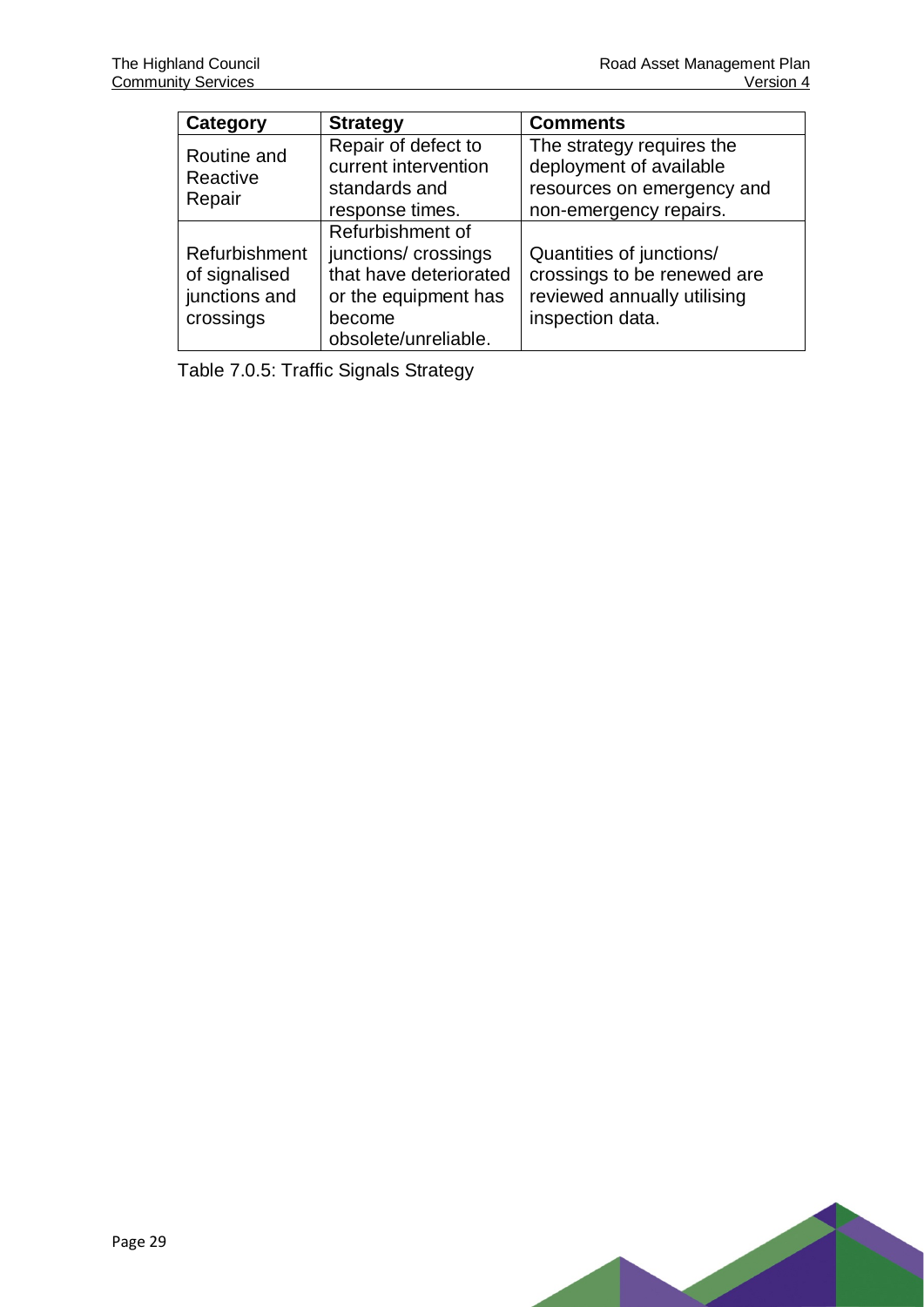| Category                          | <b>Strategy</b>        | <b>Comments</b>             |  |
|-----------------------------------|------------------------|-----------------------------|--|
| Routine and<br>Reactive<br>Repair | Repair of defect to    | The strategy requires the   |  |
|                                   | current intervention   | deployment of available     |  |
|                                   | standards and          | resources on emergency and  |  |
|                                   | response times.        | non-emergency repairs.      |  |
|                                   | Refurbishment of       |                             |  |
| Refurbishment                     | junctions/ crossings   | Quantities of junctions/    |  |
| of signalised                     | that have deteriorated | crossings to be renewed are |  |
| junctions and                     | or the equipment has   | reviewed annually utilising |  |
| crossings                         | become                 | inspection data.            |  |
|                                   | obsolete/unreliable.   |                             |  |

<span id="page-31-0"></span>Table 7.0.5: Traffic Signals Strategy

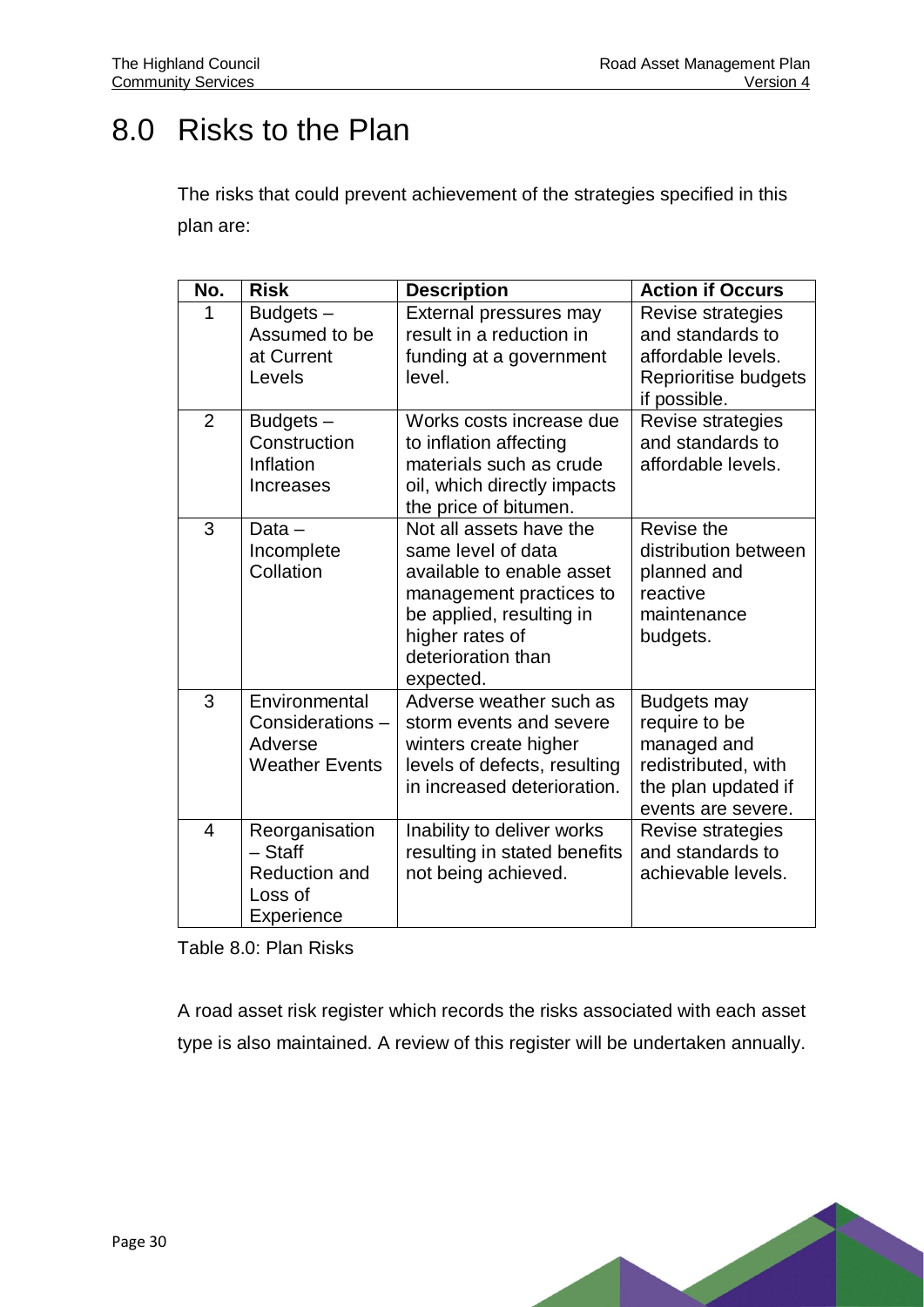## <span id="page-32-0"></span>8.0 Risks to the Plan

The risks that could prevent achievement of the strategies specified in this plan are:

| No.            | <b>Risk</b>                                                                  | <b>Description</b>                                                                                                                                                                      | <b>Action if Occurs</b>                                                                                                |
|----------------|------------------------------------------------------------------------------|-----------------------------------------------------------------------------------------------------------------------------------------------------------------------------------------|------------------------------------------------------------------------------------------------------------------------|
|                | Budgets-<br>Assumed to be<br>at Current<br>Levels                            | External pressures may<br>result in a reduction in<br>funding at a government<br>level.                                                                                                 | Revise strategies<br>and standards to<br>affordable levels.<br>Reprioritise budgets<br>if possible.                    |
| $\overline{2}$ | Budgets-<br>Construction<br>Inflation<br>Increases                           | Works costs increase due<br>to inflation affecting<br>materials such as crude<br>oil, which directly impacts<br>the price of bitumen.                                                   | Revise strategies<br>and standards to<br>affordable levels.                                                            |
| 3              | Data $-$<br>Incomplete<br>Collation                                          | Not all assets have the<br>same level of data<br>available to enable asset<br>management practices to<br>be applied, resulting in<br>higher rates of<br>deterioration than<br>expected. | Revise the<br>distribution between<br>planned and<br>reactive<br>maintenance<br>budgets.                               |
| 3              | Environmental<br>Considerations-<br>Adverse<br><b>Weather Events</b>         | Adverse weather such as<br>storm events and severe<br>winters create higher<br>levels of defects, resulting<br>in increased deterioration.                                              | <b>Budgets may</b><br>require to be<br>managed and<br>redistributed, with<br>the plan updated if<br>events are severe. |
| 4              | Reorganisation<br>$-$ Staff<br><b>Reduction and</b><br>Loss of<br>Experience | Inability to deliver works<br>resulting in stated benefits<br>not being achieved.                                                                                                       | Revise strategies<br>and standards to<br>achievable levels.                                                            |

<span id="page-32-1"></span>Table 8.0: Plan Risks

A road asset risk register which records the risks associated with each asset type is also maintained. A review of this register will be undertaken annually.